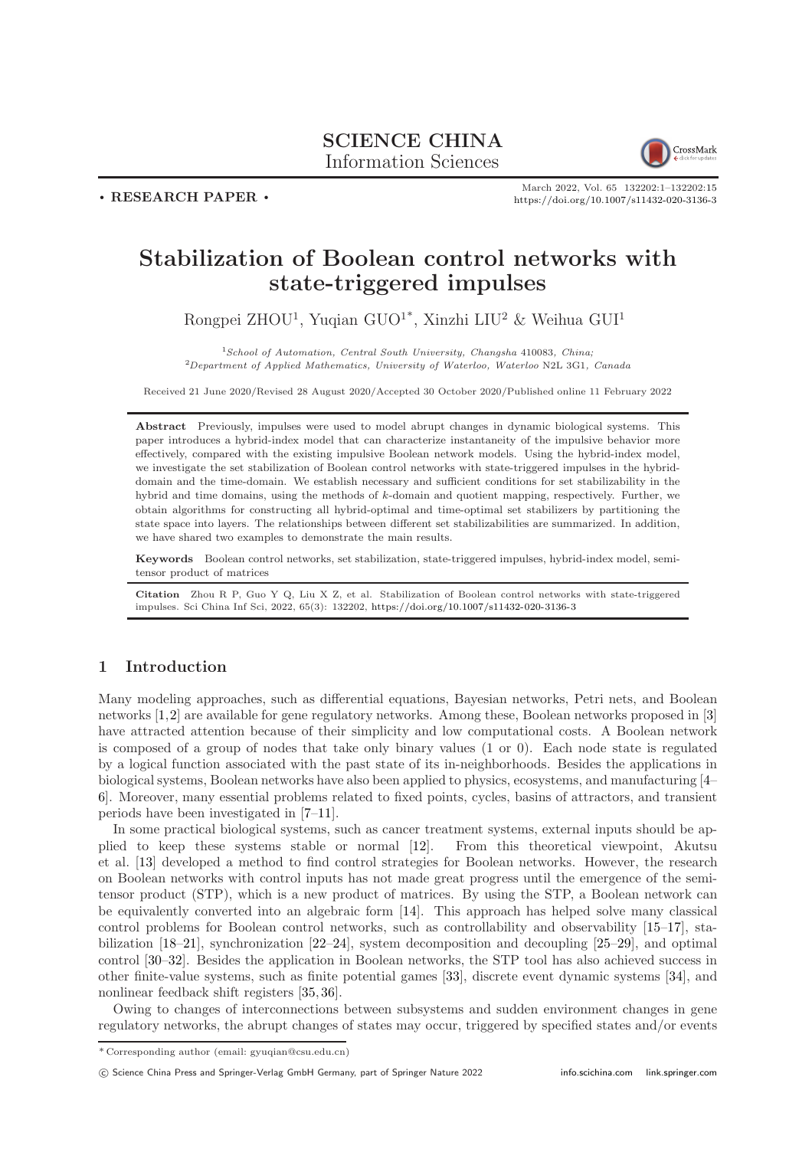## SCIENCE CHINA Information Sciences



. RESEARCH PAPER .

March 2022, Vol. 65 132202:1–132202[:15](#page-14-0) <https://doi.org/10.1007/s11432-020-3136-3>

# Stabilization of Boolean control networks with state-triggered impulses

Rongpei ZHOU<sup>1</sup>, Yuqian GUO<sup>1\*</sup>, Xinzhi LIU<sup>2</sup> & Weihua GUI<sup>1</sup>

<sup>1</sup>School of Automation, Central South University, Changsha 410083, China;  $^{2}$ Department of Applied Mathematics, University of Waterloo, Waterloo N2L 3G1, Canada

Received 21 June 2020/Revised 28 August 2020/Accepted 30 October 2020/Published online 11 February 2022

Abstract Previously, impulses were used to model abrupt changes in dynamic biological systems. This paper introduces a hybrid-index model that can characterize instantaneity of the impulsive behavior more effectively, compared with the existing impulsive Boolean network models. Using the hybrid-index model, we investigate the set stabilization of Boolean control networks with state-triggered impulses in the hybriddomain and the time-domain. We establish necessary and sufficient conditions for set stabilizability in the hybrid and time domains, using the methods of k-domain and quotient mapping, respectively. Further, we obtain algorithms for constructing all hybrid-optimal and time-optimal set stabilizers by partitioning the state space into layers. The relationships between different set stabilizabilities are summarized. In addition, we have shared two examples to demonstrate the main results.

Keywords Boolean control networks, set stabilization, state-triggered impulses, hybrid-index model, semitensor product of matrices

Citation Zhou R P, Guo Y Q, Liu X Z, et al. Stabilization of Boolean control networks with state-triggered impulses. Sci China Inf Sci, 2022, 65(3): 132202, <https://doi.org/10.1007/s11432-020-3136-3>

## 1 Introduction

Many modeling approaches, such as differential equations, Bayesian networks, Petri nets, and Boolean networks [\[1,](#page-13-0)[2\]](#page-13-1) are available for gene regulatory networks. Among these, Boolean networks proposed in [\[3\]](#page-13-2) have attracted attention because of their simplicity and low computational costs. A Boolean network is composed of a group of nodes that take only binary values (1 or 0). Each node state is regulated by a logical function associated with the past state of its in-neighborhoods. Besides the applications in biological systems, Boolean networks have also been applied to physics, ecosystems, and manufacturing [\[4–](#page-13-3) [6\]](#page-13-4). Moreover, many essential problems related to fixed points, cycles, basins of attractors, and transient periods have been investigated in [\[7–](#page-13-5)[11\]](#page-13-6).

In some practical biological systems, such as cancer treatment systems, external inputs should be applied to keep these systems stable or normal [\[12\]](#page-13-7). From this theoretical viewpoint, Akutsu et al. [\[13\]](#page-13-8) developed a method to find control strategies for Boolean networks. However, the research on Boolean networks with control inputs has not made great progress until the emergence of the semitensor product (STP), which is a new product of matrices. By using the STP, a Boolean network can be equivalently converted into an algebraic form [\[14\]](#page-13-9). This approach has helped solve many classical control problems for Boolean control networks, such as controllability and observability [\[15](#page-13-10)[–17\]](#page-13-11), stabilization [\[18](#page-13-12)[–21\]](#page-13-13), synchronization [\[22](#page-13-14)[–24\]](#page-13-15), system decomposition and decoupling [\[25](#page-14-1)[–29\]](#page-14-2), and optimal control [\[30](#page-14-3)[–32\]](#page-14-4). Besides the application in Boolean networks, the STP tool has also achieved success in other finite-value systems, such as finite potential games [\[33\]](#page-14-5), discrete event dynamic systems [\[34\]](#page-14-6), and nonlinear feedback shift registers [\[35,](#page-14-7) [36\]](#page-14-8).

Owing to changes of interconnections between subsystems and sudden environment changes in gene regulatory networks, the abrupt changes of states may occur, triggered by specified states and/or events

<sup>\*</sup> Corresponding author (email: gyuqian@csu.edu.cn)

c Science China Press and Springer-Verlag GmbH Germany, part of Springer Nature 2022 <info.scichina.com><link.springer.com>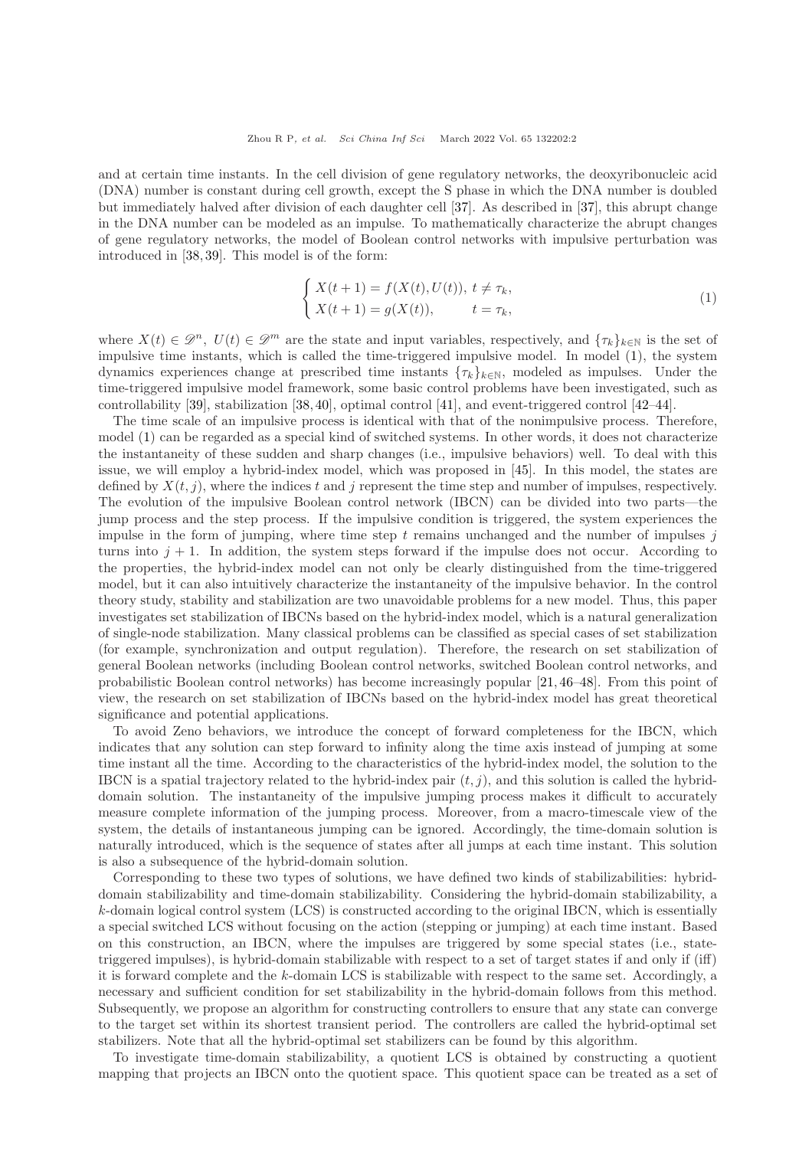and at certain time instants. In the cell division of gene regulatory networks, the deoxyribonucleic acid (DNA) number is constant during cell growth, except the S phase in which the DNA number is doubled but immediately halved after division of each daughter cell [\[37\]](#page-14-9). As described in [\[37\]](#page-14-9), this abrupt change in the DNA number can be modeled as an impulse. To mathematically characterize the abrupt changes of gene regulatory networks, the model of Boolean control networks with impulsive perturbation was introduced in [\[38,](#page-14-10) [39\]](#page-14-11). This model is of the form:

<span id="page-1-0"></span>
$$
\begin{cases} X(t+1) = f(X(t), U(t)), \ t \neq \tau_k, \\ X(t+1) = g(X(t)), \qquad t = \tau_k, \end{cases}
$$
\n(1)

where  $X(t) \in \mathscr{D}^n$ ,  $U(t) \in \mathscr{D}^m$  are the state and input variables, respectively, and  $\{\tau_k\}_{k \in \mathbb{N}}$  is the set of impulsive time instants, which is called the time-triggered impulsive model. In model [\(1\)](#page-1-0), the system dynamics experiences change at prescribed time instants  $\{\tau_k\}_{k\in\mathbb{N}}$ , modeled as impulses. Under the time-triggered impulsive model framework, some basic control problems have been investigated, such as controllability [\[39\]](#page-14-11), stabilization [\[38,](#page-14-10) [40\]](#page-14-12), optimal control [\[41\]](#page-14-13), and event-triggered control [\[42](#page-14-14)[–44\]](#page-14-15).

The time scale of an impulsive process is identical with that of the nonimpulsive process. Therefore, model [\(1\)](#page-1-0) can be regarded as a special kind of switched systems. In other words, it does not characterize the instantaneity of these sudden and sharp changes (i.e., impulsive behaviors) well. To deal with this issue, we will employ a hybrid-index model, which was proposed in [\[45\]](#page-14-16). In this model, the states are defined by  $X(t, j)$ , where the indices t and j represent the time step and number of impulses, respectively. The evolution of the impulsive Boolean control network (IBCN) can be divided into two parts—the jump process and the step process. If the impulsive condition is triggered, the system experiences the impulse in the form of jumping, where time step t remains unchanged and the number of impulses  $j$ turns into  $j + 1$ . In addition, the system steps forward if the impulse does not occur. According to the properties, the hybrid-index model can not only be clearly distinguished from the time-triggered model, but it can also intuitively characterize the instantaneity of the impulsive behavior. In the control theory study, stability and stabilization are two unavoidable problems for a new model. Thus, this paper investigates set stabilization of IBCNs based on the hybrid-index model, which is a natural generalization of single-node stabilization. Many classical problems can be classified as special cases of set stabilization (for example, synchronization and output regulation). Therefore, the research on set stabilization of general Boolean networks (including Boolean control networks, switched Boolean control networks, and probabilistic Boolean control networks) has become increasingly popular [\[21,](#page-13-13) [46](#page-14-17)[–48\]](#page-14-18). From this point of view, the research on set stabilization of IBCNs based on the hybrid-index model has great theoretical significance and potential applications.

To avoid Zeno behaviors, we introduce the concept of forward completeness for the IBCN, which indicates that any solution can step forward to infinity along the time axis instead of jumping at some time instant all the time. According to the characteristics of the hybrid-index model, the solution to the IBCN is a spatial trajectory related to the hybrid-index pair  $(t, j)$ , and this solution is called the hybriddomain solution. The instantaneity of the impulsive jumping process makes it difficult to accurately measure complete information of the jumping process. Moreover, from a macro-timescale view of the system, the details of instantaneous jumping can be ignored. Accordingly, the time-domain solution is naturally introduced, which is the sequence of states after all jumps at each time instant. This solution is also a subsequence of the hybrid-domain solution.

Corresponding to these two types of solutions, we have defined two kinds of stabilizabilities: hybriddomain stabilizability and time-domain stabilizability. Considering the hybrid-domain stabilizability, a k-domain logical control system (LCS) is constructed according to the original IBCN, which is essentially a special switched LCS without focusing on the action (stepping or jumping) at each time instant. Based on this construction, an IBCN, where the impulses are triggered by some special states (i.e., statetriggered impulses), is hybrid-domain stabilizable with respect to a set of target states if and only if (iff) it is forward complete and the k-domain LCS is stabilizable with respect to the same set. Accordingly, a necessary and sufficient condition for set stabilizability in the hybrid-domain follows from this method. Subsequently, we propose an algorithm for constructing controllers to ensure that any state can converge to the target set within its shortest transient period. The controllers are called the hybrid-optimal set stabilizers. Note that all the hybrid-optimal set stabilizers can be found by this algorithm.

To investigate time-domain stabilizability, a quotient LCS is obtained by constructing a quotient mapping that projects an IBCN onto the quotient space. This quotient space can be treated as a set of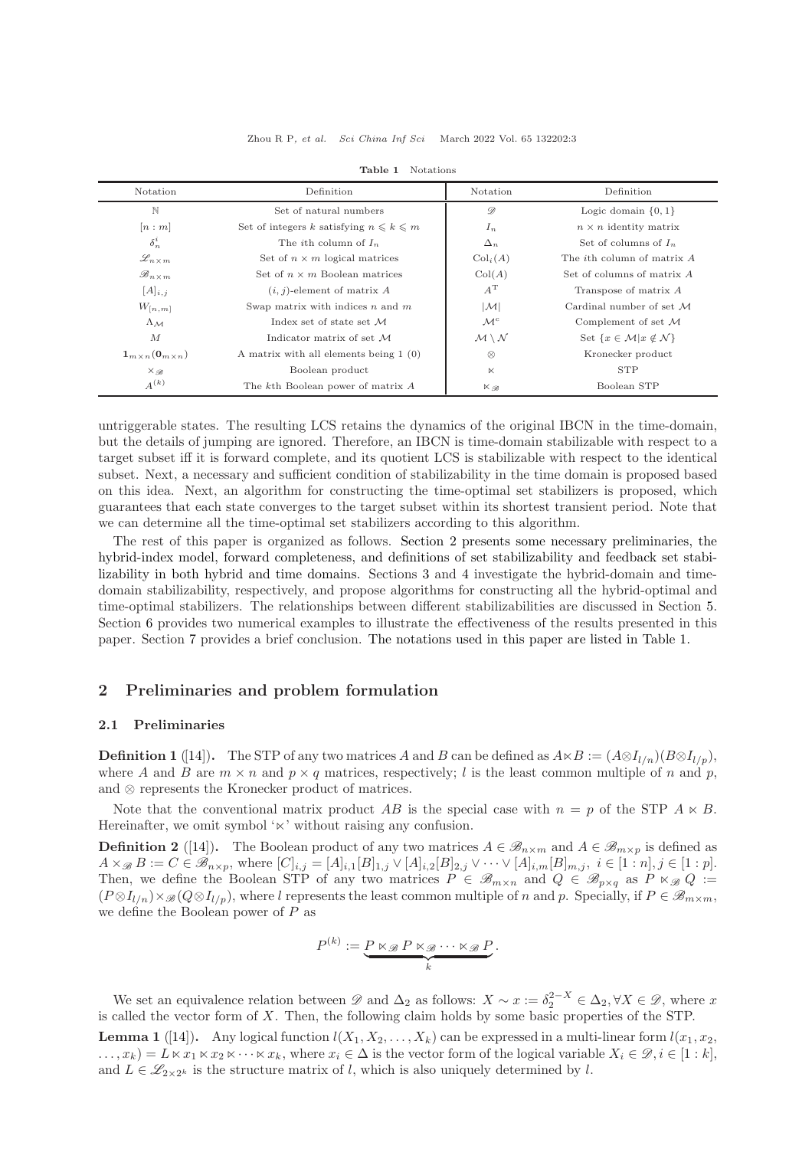<span id="page-2-1"></span>

| Notation                                           | Definition                                     | Notation                            | Definition                                          |  |  |  |  |  |
|----------------------------------------------------|------------------------------------------------|-------------------------------------|-----------------------------------------------------|--|--|--|--|--|
| N                                                  | Set of natural numbers                         | $\mathscr{D}$                       | Logic domain $\{0, 1\}$                             |  |  |  |  |  |
| n:m                                                | Set of integers k satisfying $n \leq k \leq m$ | $I_n$                               | $n \times n$ identity matrix                        |  |  |  |  |  |
| $\delta_n^i$                                       | The <i>i</i> th column of $I_n$                | $\Delta_n$                          | Set of columns of $I_n$                             |  |  |  |  |  |
| $\mathscr{L}_{n \times m}$                         | Set of $n \times m$ logical matrices           | $\mathrm{Col}_i(A)$                 | The <i>i</i> th column of matrix A                  |  |  |  |  |  |
| $\mathscr{B}_{n \times m}$                         | Set of $n \times m$ Boolean matrices           | Col(A)                              | Set of columns of matrix A                          |  |  |  |  |  |
| $[A]_{i,j}$                                        | $(i, j)$ -element of matrix A                  | $A^{\rm T}$                         | Transpose of matrix $A$                             |  |  |  |  |  |
| $W_{[n,m]}$                                        | Swap matrix with indices $n$ and $m$           | $ \mathcal{M} $                     | Cardinal number of set $M$                          |  |  |  |  |  |
| $\Lambda_{\mathcal{M}}$                            | Index set of state set $\mathcal M$            | $\mathcal{M}^c$                     | Complement of set $M$                               |  |  |  |  |  |
| $\overline{M}$                                     | Indicator matrix of set M                      | $\mathcal{M} \setminus \mathcal{N}$ | Set $\{x \in \mathcal{M}   x \notin \mathcal{N}\}\$ |  |  |  |  |  |
| $\mathbf{1}_{m \times n}(\mathbf{0}_{m \times n})$ | A matrix with all elements being $1(0)$        | $\otimes$                           | Kronecker product                                   |  |  |  |  |  |
| $X_{\mathscr{B}}$                                  | Boolean product                                | $\ltimes$                           | <b>STP</b>                                          |  |  |  |  |  |
| $A^{(k)}$                                          | The kth Boolean power of matrix A              | $\times_{\mathscr{B}}$              | Boolean STP                                         |  |  |  |  |  |

Table 1 Notations

untriggerable states. The resulting LCS retains the dynamics of the original IBCN in the time-domain, but the details of jumping are ignored. Therefore, an IBCN is time-domain stabilizable with respect to a target subset iff it is forward complete, and its quotient LCS is stabilizable with respect to the identical subset. Next, a necessary and sufficient condition of stabilizability in the time domain is proposed based on this idea. Next, an algorithm for constructing the time-optimal set stabilizers is proposed, which guarantees that each state converges to the target subset within its shortest transient period. Note that we can determine all the time-optimal set stabilizers according to this algorithm.

The rest of this paper is organized as follows. Section [2](#page-2-0) presents some necessary preliminaries, the hybrid-index model, forward completeness, and definitions of set stabilizability and feedback set stabilizability in both hybrid and time domains. Sections [3](#page-4-0) and [4](#page-7-0) investigate the hybrid-domain and timedomain stabilizability, respectively, and propose algorithms for constructing all the hybrid-optimal and time-optimal stabilizers. The relationships between different stabilizabilities are discussed in Section [5.](#page-10-0) Section [6](#page-10-1) provides two numerical examples to illustrate the effectiveness of the results presented in this paper. Section [7](#page-13-16) provides a brief conclusion. The notations used in this paper are listed in Table [1.](#page-2-1)

## <span id="page-2-0"></span>2 Preliminaries and problem formulation

### 2.1 Preliminaries

**Definition 1** ([\[14\]](#page-13-9)). The STP of any two matrices A and B can be defined as  $A \ltimes B := (A \otimes I_{l/n})(B \otimes I_{l/n})$ , where A and B are  $m \times n$  and  $p \times q$  matrices, respectively; l is the least common multiple of n and p, and ⊗ represents the Kronecker product of matrices.

Note that the conventional matrix product AB is the special case with  $n = p$  of the STP  $A \ltimes B$ . Hereinafter, we omit symbol '<sub>⊠</sub>' without raising any confusion.

**Definition 2** ([\[14\]](#page-13-9)). The Boolean product of any two matrices  $A \in \mathscr{B}_{n \times m}$  and  $A \in \mathscr{B}_{m \times p}$  is defined as  $A \times_{\mathscr{B}} B := C \in \mathscr{B}_{n \times p}$ , where  $[C]_{i,j} = [A]_{i,1}[B]_{1,j} \vee [A]_{i,2}[B]_{2,j} \vee \cdots \vee [A]_{i,m}[B]_{m,j}, i \in [1:n], j \in [1:p].$ Then, we define the Boolean STP of any two matrices  $P \in \mathscr{B}_{m \times n}$  and  $Q \in \mathscr{B}_{p \times q}$  as  $P \ltimes_{\mathscr{B}} Q :=$  $(P \otimes I_{l/n}) \times \mathscr{B}(Q \otimes I_{l/n})$ , where l represents the least common multiple of n and p. Specially, if  $P \in \mathscr{B}_{m \times m}$ , we define the Boolean power of  $P$  as

$$
P^{(k)} := \underbrace{P \ltimes_{\mathscr{B}} P \ltimes_{\mathscr{B}} \cdots \ltimes_{\mathscr{B}} P}_{k}.
$$

We set an equivalence relation between  $\mathscr D$  and  $\Delta_2$  as follows:  $X \sim x := \delta_2^{2-X} \in \Delta_2, \forall X \in \mathscr D$ , where x is called the vector form of X. Then, the following claim holds by some basic properties of the STP.

<span id="page-2-2"></span>**Lemma 1** ([\[14\]](#page-13-9)). Any logical function  $l(X_1, X_2, \ldots, X_k)$  can be expressed in a multi-linear form  $l(x_1, x_2, \ldots, x_k)$  $\dots, x_k) = L \ltimes x_1 \ltimes x_2 \ltimes \cdots \ltimes x_k$ , where  $x_i \in \Delta$  is the vector form of the logical variable  $X_i \in \mathcal{D}, i \in [1:k]$ , and  $L \in \mathscr{L}_{2 \times 2^k}$  is the structure matrix of l, which is also uniquely determined by l.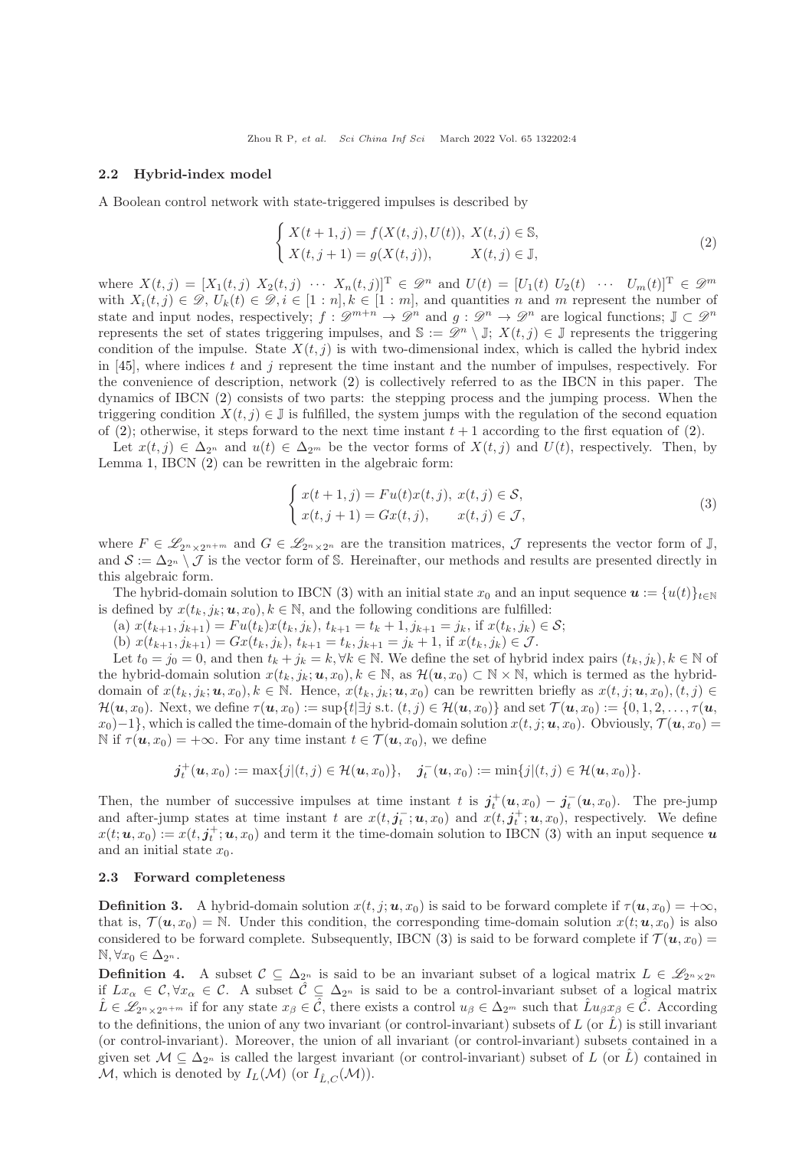#### 2.2 Hybrid-index model

A Boolean control network with state-triggered impulses is described by

<span id="page-3-0"></span>
$$
\begin{cases} X(t+1,j) = f(X(t,j),U(t)), \ X(t,j) \in \mathbb{S}, \\ X(t,j+1) = g(X(t,j)), \qquad X(t,j) \in \mathbb{J}, \end{cases}
$$
\n(2)

where  $X(t, j) = [X_1(t, j) X_2(t, j) \cdots X_n(t, j)]^T \in \mathcal{D}^n$  and  $U(t) = [U_1(t) U_2(t) \cdots U_m(t)]^T \in \mathcal{D}^m$ with  $X_i(t, j) \in \mathcal{D}, U_k(t) \in \mathcal{D}, i \in [1:n], k \in [1:m]$ , and quantities n and m represent the number of state and input nodes, respectively;  $f : \mathscr{D}^{m+n} \to \mathscr{D}^n$  and  $g : \mathscr{D}^n \to \mathscr{D}^n$  are logical functions;  $\mathbb{J} \subset \mathscr{D}^n$ represents the set of states triggering impulses, and  $\mathbb{S} := \mathscr{D}^n \setminus \mathbb{J}; X(t,j) \in \mathbb{J}$  represents the triggering condition of the impulse. State  $X(t, j)$  is with two-dimensional index, which is called the hybrid index in [\[45\]](#page-14-16), where indices t and j represent the time instant and the number of impulses, respectively. For the convenience of description, network [\(2\)](#page-3-0) is collectively referred to as the IBCN in this paper. The dynamics of IBCN [\(2\)](#page-3-0) consists of two parts: the stepping process and the jumping process. When the triggering condition  $X(t, j) \in \mathbb{J}$  is fulfilled, the system jumps with the regulation of the second equation of [\(2\)](#page-3-0); otherwise, it steps forward to the next time instant  $t + 1$  according to the first equation of (2).

Let  $x(t, j) \in \Delta_{2^n}$  and  $u(t) \in \Delta_{2^m}$  be the vector forms of  $X(t, j)$  and  $U(t)$ , respectively. Then, by Lemma [1,](#page-2-2) IBCN [\(2\)](#page-3-0) can be rewritten in the algebraic form:

<span id="page-3-1"></span>
$$
\begin{cases}\nx(t+1,j) = Fu(t)x(t,j), \ x(t,j) \in \mathcal{S}, \\
x(t,j+1) = Gx(t,j), \quad x(t,j) \in \mathcal{J},\n\end{cases}
$$
\n(3)

where  $F \in \mathscr{L}_{2^n \times 2^{n+m}}$  and  $G \in \mathscr{L}_{2^n \times 2^n}$  are the transition matrices,  $\mathcal J$  represents the vector form of  $\mathbb J$ , and  $S := \Delta_{2^n} \setminus \mathcal{J}$  is the vector form of S. Hereinafter, our methods and results are presented directly in this algebraic form.

The hybrid-domain solution to IBCN [\(3\)](#page-3-1) with an initial state  $x_0$  and an input sequence  $\mathbf{u} := \{u(t)\}_{t\in\mathbb{N}}$ is defined by  $x(t_k, j_k; u, x_0), k \in \mathbb{N}$ , and the following conditions are fulfilled:

- (a)  $x(t_{k+1}, j_{k+1}) = Fu(t_k)x(t_k, j_k), t_{k+1} = t_k + 1, j_{k+1} = j_k$ , if  $x(t_k, j_k) \in S$ ;
- (b)  $x(t_{k+1}, j_{k+1}) = Gx(t_k, j_k), t_{k+1} = t_k, j_{k+1} = j_k + 1$ , if  $x(t_k, j_k) \in \mathcal{J}$ .

Let  $t_0 = j_0 = 0$ , and then  $t_k + j_k = k, \forall k \in \mathbb{N}$ . We define the set of hybrid index pairs  $(t_k, j_k)$ ,  $k \in \mathbb{N}$  of the hybrid-domain solution  $x(t_k, j_k; u, x_0), k \in \mathbb{N}$ , as  $\mathcal{H}(u, x_0) \subset \mathbb{N} \times \mathbb{N}$ , which is termed as the hybriddomain of  $x(t_k, j_k; u, x_0), k \in \mathbb{N}$ . Hence,  $x(t_k, j_k; u, x_0)$  can be rewritten briefly as  $x(t, j; u, x_0), (t, j) \in$  $\mathcal{H}(\boldsymbol{u}, x_0)$ . Next, we define  $\tau(\boldsymbol{u}, x_0) := \sup\{t | \exists j \text{ s.t. } (t, j) \in \mathcal{H}(\boldsymbol{u}, x_0) \}$  and set  $\mathcal{T}(\boldsymbol{u}, x_0) := \{0, 1, 2, \ldots, \tau(\boldsymbol{u}, x_0)\}$  $x_0$ )−1}, which is called the time-domain of the hybrid-domain solution  $x(t, j; u, x_0)$ . Obviously,  $\mathcal{T}(u, x_0)$  = N if  $\tau(\mathbf{u}, x_0) = +\infty$ . For any time instant  $t \in \mathcal{T}(\mathbf{u}, x_0)$ , we define

$$
j_t^+(u, x_0) := \max\{j|(t, j) \in \mathcal{H}(u, x_0)\}, \quad j_t^-(u, x_0) := \min\{j|(t, j) \in \mathcal{H}(u, x_0)\}.
$$

Then, the number of successive impulses at time instant t is  $j_t^+(u, x_0) - j_t^-(u, x_0)$ . The pre-jump and after-jump states at time instant t are  $x(t, j_t^-; u, x_0)$  and  $x(t, j_t^+; u, x_0)$ , respectively. We define  $x(t; u, x_0) := x(t, j_t^+; u, x_0)$  and term it the time-domain solution to IBCN [\(3\)](#page-3-1) with an input sequence  $u$ and an initial state  $x_0$ .

#### 2.3 Forward completeness

**Definition 3.** A hybrid-domain solution  $x(t, j; u, x_0)$  is said to be forward complete if  $\tau(u, x_0) = +\infty$ , that is,  $\mathcal{T}(\boldsymbol{u}, x_0) = \mathbb{N}$ . Under this condition, the corresponding time-domain solution  $x(t; \boldsymbol{u}, x_0)$  is also considered to be forward complete. Subsequently, IBCN [\(3\)](#page-3-1) is said to be forward complete if  $\mathcal{T}(\boldsymbol{u}, x_0)$  $\mathbb{N}, \forall x_0 \in \Delta_{2^n}.$ 

**Definition 4.** A subset  $\mathcal{C} \subseteq \Delta_{2^n}$  is said to be an invariant subset of a logical matrix  $L \in \mathscr{L}_{2^n \times 2^n}$ if  $Lx_{\alpha} \in \mathcal{C}, \forall x_{\alpha} \in \mathcal{C}$ . A subset  $\hat{\mathcal{C}} \subseteq \Delta_{2^n}$  is said to be a control-invariant subset of a logical matrix  $\hat{L} \in \mathscr{L}_{2^n \times 2^{n+m}}$  if for any state  $x_{\beta} \in \hat{\mathcal{C}}$ , there exists a control  $u_{\beta} \in \Delta_{2^m}$  such that  $\hat{L}u_{\beta}x_{\beta} \in \hat{\mathcal{C}}$ . According to the definitions, the union of any two invariant (or control-invariant) subsets of  $L$  (or  $\hat{L}$ ) is still invariant (or control-invariant). Moreover, the union of all invariant (or control-invariant) subsets contained in a given set  $\mathcal{M} \subseteq \Delta_{2^n}$  is called the largest invariant (or control-invariant) subset of L (or L) contained in M, which is denoted by  $I_L(\mathcal{M})$  (or  $I_{\hat{L},C}(\mathcal{M})$ ).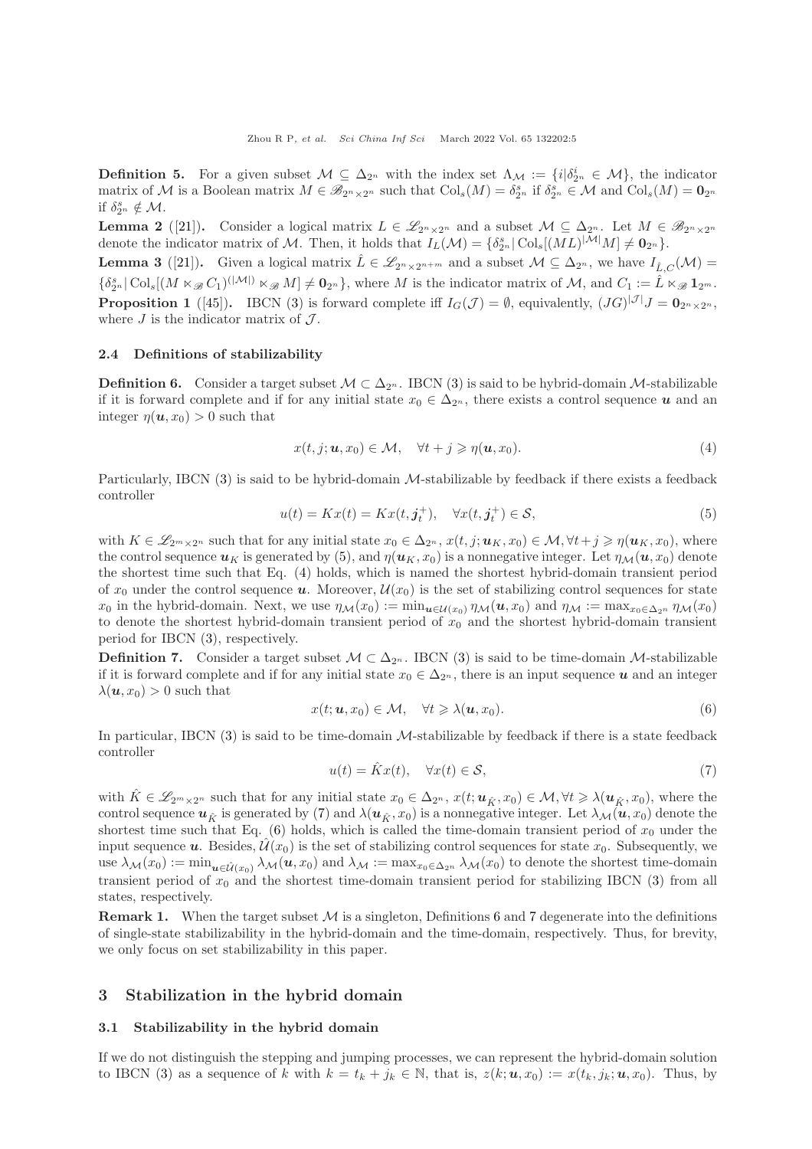**Definition 5.** For a given subset  $M \subseteq \Delta_{2^n}$  with the index set  $\Lambda_M := \{i | \delta_{2^n}^i \in M \}$ , the indicator matrix of M is a Boolean matrix  $M \in \mathscr{B}_{2^n \times 2^n}$  such that  $\text{Col}_s(M) = \delta_{2^n}^s$  if  $\delta_{2^n}^s \in \mathcal{M}$  and  $\text{Col}_s(M) = \mathbf{0}_{2^n}$ if  $\delta_{2^n}^s \notin \mathcal{M}$ .

**Lemma 2** ([\[21\]](#page-13-13)). Consider a logical matrix  $L \in \mathscr{L}_{2^{n} \times 2^{n}}$  and a subset  $\mathcal{M} \subseteq \Delta_{2^{n}}$ . Let  $M \in \mathscr{B}_{2^{n} \times 2^{n}}$ denote the indicator matrix of M. Then, it holds that  $I_L(\mathcal{M}) = {\delta_{2^n}^s | \text{Col}_s[(ML)^{|\mathcal{M}|} M] \neq \mathbf{0}_{2^n}}.$ 

<span id="page-4-8"></span><span id="page-4-7"></span>**Lemma 3** ([\[21\]](#page-13-13)). Given a logical matrix  $\hat{L} \in \mathscr{L}_{2^n \times 2^{n+m}}$  and a subset  $\mathcal{M} \subseteq \Delta_{2^n}$ , we have  $I_{\hat{L},C}(\mathcal{M}) =$  $\{\delta_{2^n}^s | \operatorname{Col}_s[(M \ltimes_{\mathscr{B}} C_1)^{(|\mathcal{M}|)} \ltimes_{\mathscr{B}} M] \neq \mathbf{0}_{2^n}\}$ , where M is the indicator matrix of M, and  $C_1 := \hat{L} \ltimes_{\mathscr{B}} \mathbf{1}_{2^m}$ . **Proposition 1** ([\[45\]](#page-14-16)). IBCN [\(3\)](#page-3-1) is forward complete iff  $I_G(\mathcal{J}) = \emptyset$ , equivalently,  $(JG)^{|\mathcal{J}|}J = \mathbf{0}_{2^n \times 2^n}$ , where  $J$  is the indicator matrix of  $J$ .

#### 2.4 Definitions of stabilizability

<span id="page-4-5"></span>**Definition 6.** Consider a target subset  $M \subset \Delta_{2^n}$ . IBCN [\(3\)](#page-3-1) is said to be hybrid-domain M-stabilizable if it is forward complete and if for any initial state  $x_0 \in \Delta_{2^n}$ , there exists a control sequence u and an integer  $\eta(\boldsymbol{u}, x_0) > 0$  such that

<span id="page-4-2"></span>
$$
x(t, j; \mathbf{u}, x_0) \in \mathcal{M}, \quad \forall t + j \geqslant \eta(\mathbf{u}, x_0). \tag{4}
$$

Particularly, IBCN  $(3)$  is said to be hybrid-domain *M*-stabilizable by feedback if there exists a feedback controller

<span id="page-4-1"></span>
$$
u(t) = Kx(t) = Kx(t, \mathbf{j}_t^+), \quad \forall x(t, \mathbf{j}_t^+) \in \mathcal{S},\tag{5}
$$

with  $K \in \mathscr{L}_{2^m \times 2^n}$  such that for any initial state  $x_0 \in \Delta_{2^n}$ ,  $x(t, j; u_K, x_0) \in \mathcal{M}, \forall t + j \geq \eta(u_K, x_0)$ , where the control sequence  $u_K$  is generated by [\(5\)](#page-4-1), and  $\eta(u_K, x_0)$  is a nonnegative integer. Let  $\eta_{\mathcal{M}}(u, x_0)$  denote the shortest time such that Eq. [\(4\)](#page-4-2) holds, which is named the shortest hybrid-domain transient period of  $x_0$  under the control sequence **u**. Moreover,  $\mathcal{U}(x_0)$  is the set of stabilizing control sequences for state  $x_0$  in the hybrid-domain. Next, we use  $\eta_{\mathcal{M}}(x_0) := \min_{\mathbf{u} \in \mathcal{U}(x_0)} \eta_{\mathcal{M}}(\mathbf{u}, x_0)$  and  $\eta_{\mathcal{M}} := \max_{x_0 \in \Delta_{2^n}} \eta_{\mathcal{M}}(x_0)$ to denote the shortest hybrid-domain transient period of  $x_0$  and the shortest hybrid-domain transient period for IBCN [\(3\)](#page-3-1), respectively.

<span id="page-4-6"></span>**Definition 7.** Consider a target subset  $\mathcal{M} \subset \Delta_{2^n}$ . IBCN [\(3\)](#page-3-1) is said to be time-domain M-stabilizable if it is forward complete and if for any initial state  $x_0 \in \Delta_{2^n}$ , there is an input sequence u and an integer  $\lambda(\mathbf{u}, x_0) > 0$  such that

<span id="page-4-4"></span>
$$
x(t; \mathbf{u}, x_0) \in \mathcal{M}, \quad \forall t \geqslant \lambda(\mathbf{u}, x_0). \tag{6}
$$

In particular, IBCN  $(3)$  is said to be time-domain M-stabilizable by feedback if there is a state feedback controller

<span id="page-4-3"></span>
$$
u(t) = \hat{K}x(t), \quad \forall x(t) \in \mathcal{S},\tag{7}
$$

with  $\tilde{K} \in \mathscr{L}_{2^m \times 2^n}$  such that for any initial state  $x_0 \in \Delta_{2^n}$ ,  $x(t; u_{\hat{K}}, x_0) \in \mathcal{M}, \forall t \geq \lambda(u_{\hat{K}}, x_0)$ , where the control sequence  $u_{\hat{\kappa}}$  is generated by [\(7\)](#page-4-3) and  $\lambda(u_{\hat{\kappa}}, x_0)$  is a nonnegative integer. Let  $\lambda_{\mathcal{M}}(u, x_0)$  denote the shortest time such that Eq.  $(6)$  holds, which is called the time-domain transient period of  $x_0$  under the input sequence **u**. Besides,  $\hat{\mathcal{U}}(x_0)$  is the set of stabilizing control sequences for state  $x_0$ . Subsequently, we use  $\lambda_{\mathcal{M}}(x_0) := \min_{\bm{u} \in \hat{\mathcal{U}}(x_0)} \lambda_{\mathcal{M}}(\bm{u}, x_0)$  and  $\lambda_{\mathcal{M}} := \max_{x_0 \in \Delta_{2^n}} \lambda_{\mathcal{M}}(x_0)$  to denote the shortest time-domain transient period of  $x_0$  and the shortest time-domain transient period for stabilizing IBCN [\(3\)](#page-3-1) from all states, respectively.

**Remark 1.** When the target subset  $M$  is a singleton, Definitions [6](#page-4-5) and [7](#page-4-6) degenerate into the definitions of single-state stabilizability in the hybrid-domain and the time-domain, respectively. Thus, for brevity, we only focus on set stabilizability in this paper.

## <span id="page-4-0"></span>3 Stabilization in the hybrid domain

#### 3.1 Stabilizability in the hybrid domain

If we do not distinguish the stepping and jumping processes, we can represent the hybrid-domain solution to IBCN [\(3\)](#page-3-1) as a sequence of k with  $k = t_k + j_k \in \mathbb{N}$ , that is,  $z(k; u, x_0) := x(t_k, j_k; u, x_0)$ . Thus, by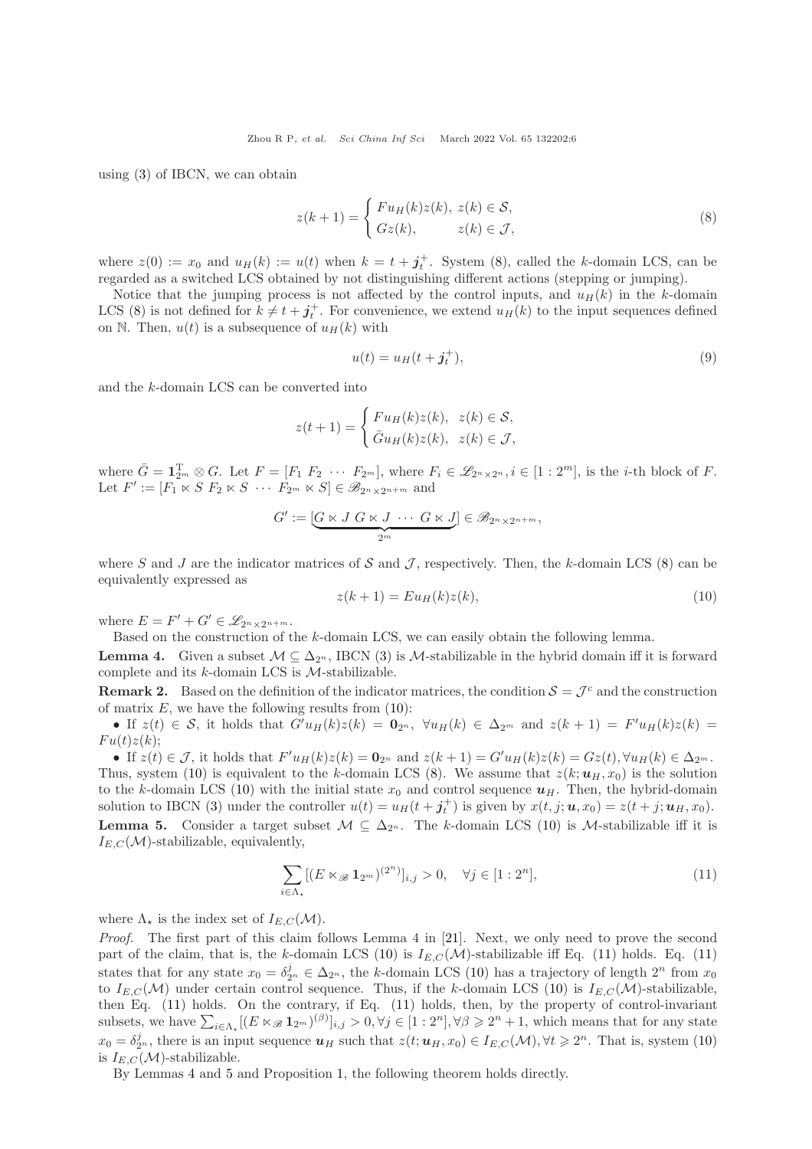using [\(3\)](#page-3-1) of IBCN, we can obtain

<span id="page-5-0"></span>
$$
z(k+1) = \begin{cases} Fu_H(k)z(k), & z(k) \in \mathcal{S}, \\ Gz(k), & z(k) \in \mathcal{J}, \end{cases}
$$
(8)

where  $z(0) := x_0$  and  $u_H(k) := u(t)$  when  $k = t + j_t^+$ . System [\(8\)](#page-5-0), called the k-domain LCS, can be regarded as a switched LCS obtained by not distinguishing different actions (stepping or jumping).

Notice that the jumping process is not affected by the control inputs, and  $u_H(k)$  in the k-domain LCS [\(8\)](#page-5-0) is not defined for  $k \neq t + j_t^+$ . For convenience, we extend  $u_H(k)$  to the input sequences defined on N. Then,  $u(t)$  is a subsequence of  $u_H(k)$  with

$$
u(t) = u_H(t + \boldsymbol{j}_t^+),\tag{9}
$$

and the k-domain LCS can be converted into

$$
z(t+1) = \begin{cases} Fu_H(k)z(k), & z(k) \in \mathcal{S}, \\ \bar{G}u_H(k)z(k), & z(k) \in \mathcal{J}, \end{cases}
$$

where  $\bar{G} = \mathbf{1}_{2^m}^T \otimes G$ . Let  $F = [F_1 \ F_2 \ \cdots \ F_{2^m}],$  where  $F_i \in \mathscr{L}_{2^n \times 2^n}, i \in [1 : 2^m],$  is the *i*-th block of  $F$ . Let  $F' := [F_1 \ltimes S \ F_2 \ltimes S \ \cdots \ F_{2^m} \ltimes S] \in \mathscr{B}_{2^n \times 2^{n+m}}$  and

$$
G' := \underbrace{[G \ltimes J \ G \ltimes J \ \cdots \ G \ltimes J]}_{2^m} \in \mathscr{B}_{2^n \times 2^{n+m}},
$$

where S and J are the indicator matrices of S and J, respectively. Then, the k-domain LCS [\(8\)](#page-5-0) can be equivalently expressed as

<span id="page-5-1"></span>
$$
z(k+1) = Eu_H(k)z(k),\tag{10}
$$

where  $E = F' + G' \in \mathscr{L}_{2^n \times 2^{n+m}}$ .

Based on the construction of the k-domain LCS, we can easily obtain the following lemma. **Lemma 4.** Given a subset  $M \subseteq \Delta_{2^n}$ , IBCN [\(3\)](#page-3-1) is M-stabilizable in the hybrid domain iff it is forward

<span id="page-5-3"></span>complete and its  $k$ -domain LCS is  $M$ -stabilizable.

**Remark 2.** Based on the definition of the indicator matrices, the condition  $S = \mathcal{J}^c$  and the construction of matrix  $E$ , we have the following results from  $(10)$ :

• If  $z(t) \in S$ , it holds that  $G'u_H(k)z(k) = \mathbf{0}_{2^n}$ ,  $\forall u_H(k) \in \Delta_{2^m}$  and  $z(k+1) = F'u_H(k)z(k) =$  $Fu(t)z(k);$ 

<span id="page-5-4"></span>• If  $z(t) \in \mathcal{J}$ , it holds that  $F'u_H(k)z(k) = \mathbf{0}_{2^n}$  and  $z(k+1) = G'u_H(k)z(k) = Gz(t), \forall u_H(k) \in \Delta_{2^m}$ . Thus, system [\(10\)](#page-5-1) is equivalent to the k-domain LCS [\(8\)](#page-5-0). We assume that  $z(k;u_H, x_0)$  is the solution to the k-domain LCS [\(10\)](#page-5-1) with the initial state  $x_0$  and control sequence  $u_H$ . Then, the hybrid-domain solution to IBCN [\(3\)](#page-3-1) under the controller  $u(t) = u_H(t + j_t^+)$  is given by  $x(t, j; \boldsymbol{u}, x_0) = z(t + j; \boldsymbol{u}_H, x_0)$ . **Lemma 5.** Consider a target subset  $M \subseteq \Delta_{2^n}$ . The k-domain LCS [\(10\)](#page-5-1) is M-stabilizable iff it is  $I_{E,C}(\mathcal{M})$ -stabilizable, equivalently,

<span id="page-5-2"></span>
$$
\sum_{i \in \Lambda_{\star}} [(E \ltimes_{\mathscr{B}} 1_{2^m})^{(2^n)}]_{i,j} > 0, \quad \forall j \in [1:2^n], \tag{11}
$$

where  $\Lambda_{\star}$  is the index set of  $I_{E,C}(\mathcal{M}).$ 

Proof. The first part of this claim follows Lemma 4 in [\[21\]](#page-13-13). Next, we only need to prove the second part of the claim, that is, the k-domain LCS [\(10\)](#page-5-1) is  $I_{E,C}(\mathcal{M})$ -stabilizable iff Eq. [\(11\)](#page-5-2) holds. Eq. (11) states that for any state  $x_0 = \delta_{2^n}^j \in \Delta_{2^n}$ , the k-domain LCS [\(10\)](#page-5-1) has a trajectory of length  $2^n$  from  $x_0$ to  $I_{E,C}(\mathcal{M})$  under certain control sequence. Thus, if the k-domain LCS [\(10\)](#page-5-1) is  $I_{E,C}(\mathcal{M})$ -stabilizable, then Eq. [\(11\)](#page-5-2) holds. On the contrary, if Eq. [\(11\)](#page-5-2) holds, then, by the property of control-invariant subsets, we have  $\sum_{i\in\Lambda_{\star}}[(E\ltimes_{\mathscr{B}}\mathbf{1}_{2^m})^{(\beta)}]_{i,j} > 0, \forall j\in[1:2^n], \forall \beta\geqslant 2^n+1$ , which means that for any state  $x_0 = \delta_{2^n}^j$ , there is an input sequence  $u_H$  such that  $z(t; u_H, x_0) \in I_{E,C}(\mathcal{M}), \forall t \geqslant 2^n$ . That is, system [\(10\)](#page-5-1) is  $I_{E,C}(\mathcal{M})$ -stabilizable.

By Lemmas [4](#page-5-3) and [5](#page-5-4) and Proposition [1,](#page-4-7) the following theorem holds directly.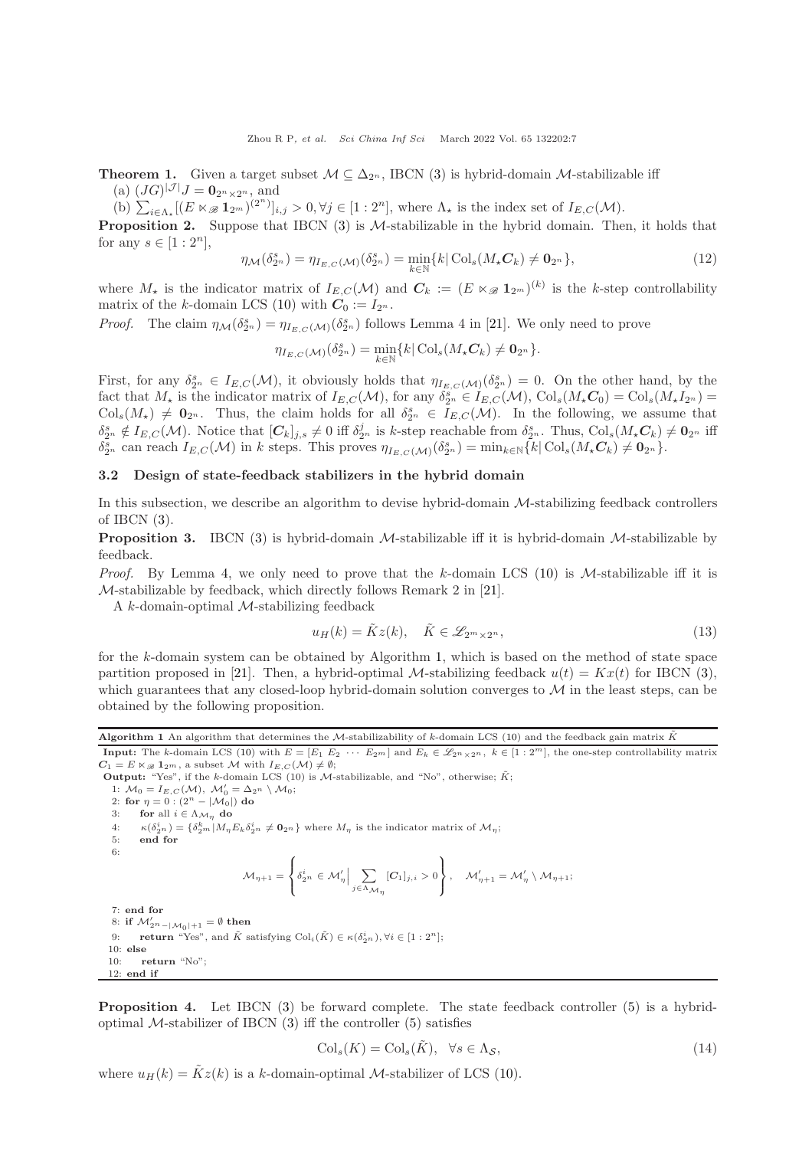<span id="page-6-3"></span>**Theorem 1.** Given a target subset  $M \subseteq \Delta_{2^n}$ , IBCN [\(3\)](#page-3-1) is hybrid-domain M-stabilizable iff (a)  $(JG)^{|\mathcal{J}|}J = \mathbf{0}_{2^n \times 2^n}$ , and

(b)  $\sum_{i\in\Lambda_{\star}}[(E\ltimes_{\mathscr{B}}\mathbf{1}_{2^m})^{(2^n)}]_{i,j} > 0, \forall j\in[1:2^n]$ , where  $\Lambda_{\star}$  is the index set of  $I_{E,C}(\mathcal{M})$ .

<span id="page-6-4"></span>**Proposition 2.** Suppose that IBCN  $(3)$  is M-stabilizable in the hybrid domain. Then, it holds that for any  $s \in [1:2^n]$ ,

$$
\eta_{\mathcal{M}}(\delta_{2^n}^s) = \eta_{I_{E,C}(\mathcal{M})}(\delta_{2^n}^s) = \min_{k \in \mathbb{N}} \{k | \operatorname{Col}_s(M_\star \mathcal{C}_k) \neq \mathbf{0}_{2^n} \},\tag{12}
$$

where  $M_{\star}$  is the indicator matrix of  $I_{E,C}(\mathcal{M})$  and  $\mathcal{C}_k := (E \ltimes_{\mathscr{B}} 1_{2^m})^{(k)}$  is the k-step controllability matrix of the k-domain LCS [\(10\)](#page-5-1) with  $C_0 := I_{2^n}$ .

*Proof.* The claim  $\eta_{\mathcal{M}}(\delta_{2^n}^s) = \eta_{I_{E,C}(\mathcal{M})}(\delta_{2^n}^s)$  follows Lemma 4 in [\[21\]](#page-13-13). We only need to prove

$$
\eta_{I_{E,C}(\mathcal{M})}(\delta_{2^n}^s)=\min_{k\in\mathbb{N}}\{k|\operatorname{Col}_{s}(M_{\star}C_{k})\neq \mathbf{0}_{2^n}\}.
$$

First, for any  $\delta_{2^n}^s \in I_{E,C}(\mathcal{M})$ , it obviously holds that  $\eta_{I_{E,C}(\mathcal{M})}(\delta_{2^n}^s) = 0$ . On the other hand, by the fact that  $M_{\star}$  is the indicator matrix of  $I_{E,C}(\mathcal{M})$ , for any  $\delta_{2^n}^s \in I_{E,C}(\mathcal{M})$ ,  $\text{Col}_{s}(M_{\star}C_0) = \text{Col}_{s}(M_{\star}I_{2^n}) =$  $\text{Col}_s(M_\star) \neq \mathbf{0}_{2^n}$ . Thus, the claim holds for all  $\delta_{2^n}^s \in I_{E,C}(\mathcal{M})$ . In the following, we assume that  $\delta_{2^n}^s \notin I_{E,C}(\mathcal{M})$ . Notice that  $[\mathcal{C}_k]_{j,s} \neq 0$  iff  $\delta_{2^n}^j$  is k-step reachable from  $\delta_{2^n}^s$ . Thus,  $\text{Col}_s(M_{\star}\mathcal{C}_k) \neq \mathbf{0}_{2^n}$  iff  $\delta_{2^n}^s$  can reach  $I_{E,C}(\mathcal{M})$  in k steps. This proves  $\eta_{I_{E,C}(\mathcal{M})}(\delta_{2^n}^s) = \min_{k \in \mathbb{N}} \{k | \text{Col}_s(M_{\star} C_k) \neq \mathbf{0}_{2^n}\}.$ 

#### 3.2 Design of state-feedback stabilizers in the hybrid domain

In this subsection, we describe an algorithm to devise hybrid-domain M-stabilizing feedback controllers of IBCN  $(3)$ .

<span id="page-6-2"></span>**Proposition 3.** IBCN [\(3\)](#page-3-1) is hybrid-domain M-stabilizable iff it is hybrid-domain M-stabilizable by feedback.

*Proof.* By Lemma [4,](#page-5-3) we only need to prove that the k-domain LCS [\(10\)](#page-5-1) is M-stabilizable iff it is M-stabilizable by feedback, which directly follows Remark 2 in [\[21\]](#page-13-13).

A k-domain-optimal M-stabilizing feedback

$$
u_H(k) = \tilde{K}z(k), \quad \tilde{K} \in \mathcal{L}_{2^m \times 2^n}, \tag{13}
$$

for the k-domain system can be obtained by Algorithm [1,](#page-6-0) which is based on the method of state space partition proposed in [\[21\]](#page-13-13). Then, a hybrid-optimal M-stabilizing feedback  $u(t) = Kx(t)$  for IBCN [\(3\)](#page-3-1), which guarantees that any closed-loop hybrid-domain solution converges to  $\mathcal M$  in the least steps, can be obtained by the following proposition.

<span id="page-6-0"></span>Algorithm 1 An algorithm that determines the M-stabilizability of k-domain LCS [\(10\)](#page-5-1) and the feedback gain matrix  $\tilde{K}$ 

**Input:** The k-domain LCS [\(10\)](#page-5-1) with  $E = [E_1 \ E_2 \ \cdots \ E_2 m]$  and  $E_k \in \mathscr{L}_{2^n \times 2^n}$ ,  $k \in [1:2^m]$ , the one-step controllability matrix  $C_1 = E \ltimes_{\mathscr{B}} \mathbf{1}_{2^m}$ , a subset M with  $I_{E,C}(\mathcal{M}) \neq \emptyset$ ;

**Output:** "Yes", if the k-domain LCS (10) is  $M$ -stabilizable, and "No", otherwise;  $\tilde{K}$ ; 1:  $\mathcal{M}_0 = I_{E,C}(\mathcal{M}), \ \mathcal{M}'_0 = \Delta_{2^n} \setminus \mathcal{M}_0;$ 2: for  $\eta = 0$  :  $(2^n - |M_0|)$  do 3: **for** all  $i \in \Lambda_{\mathcal{M}_{\eta}}$  do<br>4:  $\kappa(\delta_{2n}^{i}) = {\delta_{2m}^{k} | M_{n} |}$ 4:  $\kappa(\delta_{2^n}^i) = \{\delta_{2^m}^k | M_\eta E_k \delta_{2^n}^i \neq \mathbf{0}_{2^n}\}\$  where  $M_\eta$  is the indicator matrix of  $\mathcal{M}_\eta$ ; 5: end for 6:  $\mathcal{M}_{\eta+1} =$  $\int$  $\mathfrak{r}$  $\delta_{2^n}^i \in \mathcal{M}'_{\eta} \Big| \sum_{i \in \Lambda}$  $j \in Λ$ <sub>Μη</sub>  $[C_1]_{j,i} > 0$  $\overline{\mathcal{L}}$ J  $, \quad \mathcal{M}'_{\eta+1} = \mathcal{M}'_{\eta} \setminus \mathcal{M}_{\eta+1};$ 7: end for 8: if  $\mathcal{M}'_{2^n-\mathcal{|M_0|+1}}=\emptyset$  then 9: **return** "Yes", and  $\tilde{K}$  satisfying  $\text{Col}_{i}(\tilde{K}) \in \kappa(\delta_{2n}^{i}), \forall i \in [1:2^{n}];$ 10: else 10: return "No"; 12: end if

<span id="page-6-1"></span>Proposition 4. Let IBCN [\(3\)](#page-3-1) be forward complete. The state feedback controller [\(5\)](#page-4-1) is a hybridoptimal  $M$ -stabilizer of IBCN  $(3)$  iff the controller  $(5)$  satisfies

$$
\mathrm{Col}_s(K) = \mathrm{Col}_s(\tilde{K}), \quad \forall s \in \Lambda_{\mathcal{S}},\tag{14}
$$

where  $u_H(k) = \tilde{K}z(k)$  is a k-domain-optimal *M*-stabilizer of LCS [\(10\)](#page-5-1).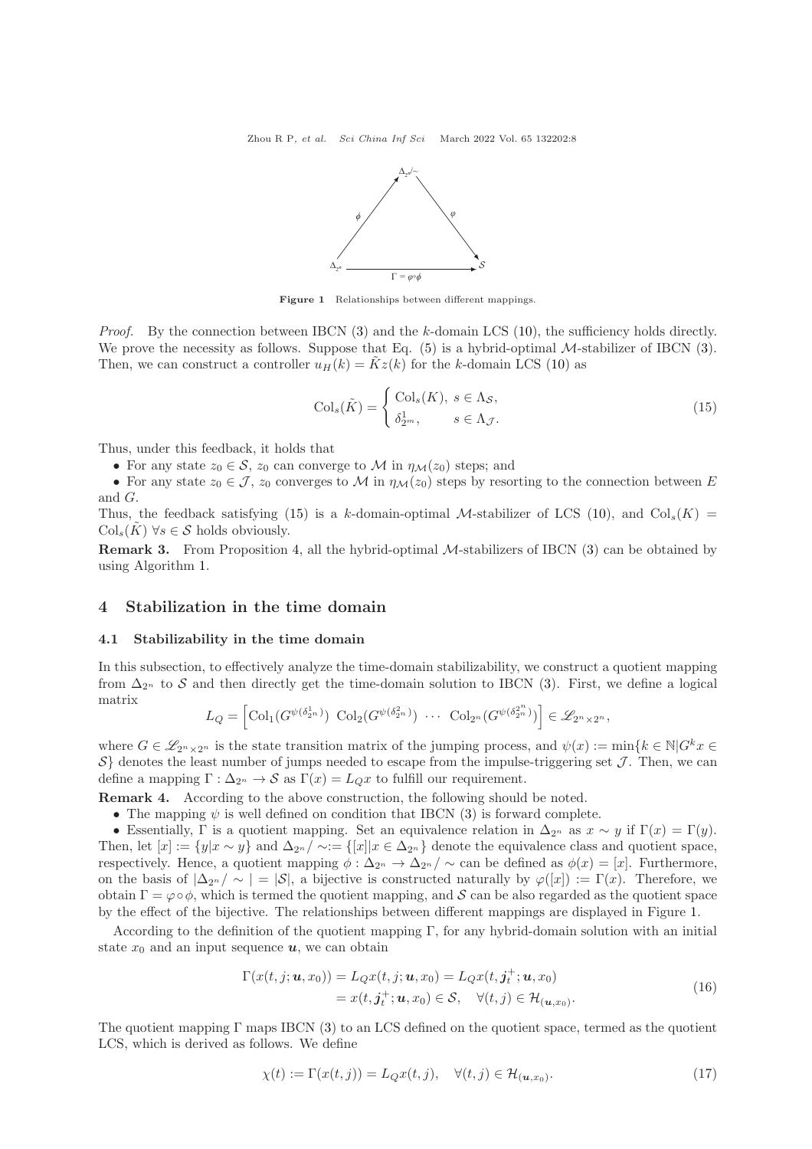

Figure 1 Relationships between different mappings.

<span id="page-7-2"></span>*Proof.* By the connection between IBCN  $(3)$  and the k-domain LCS  $(10)$ , the sufficiency holds directly. We prove the necessity as follows. Suppose that Eq.  $(5)$  is a hybrid-optimal M-stabilizer of IBCN  $(3)$ . Then, we can construct a controller  $u_H(k) = \tilde{K}z(k)$  for the k-domain LCS [\(10\)](#page-5-1) as

<span id="page-7-1"></span>
$$
\mathrm{Col}_s(\tilde{K}) = \begin{cases} \mathrm{Col}_s(K), \ s \in \Lambda_{\mathcal{S}}, \\ \delta_{2^m}^1, \qquad s \in \Lambda_{\mathcal{J}}. \end{cases} \tag{15}
$$

Thus, under this feedback, it holds that

• For any state  $z_0 \in \mathcal{S}$ ,  $z_0$  can converge to M in  $\eta_{\mathcal{M}}(z_0)$  steps; and

• For any state  $z_0 \in \mathcal{J}$ ,  $z_0$  converges to M in  $\eta_{\mathcal{M}}(z_0)$  steps by resorting to the connection between E and G.

Thus, the feedback satisfying [\(15\)](#page-7-1) is a k-domain-optimal M-stabilizer of LCS [\(10\)](#page-5-1), and  $Col_s(K)$  =  $\mathrm{Col}_s(\tilde{K}) \ \forall s \in \mathcal{S} \text{ holds obviously.}$ 

Remark 3. From Proposition [4,](#page-6-1) all the hybrid-optimal M-stabilizers of IBCN [\(3\)](#page-3-1) can be obtained by using Algorithm [1.](#page-6-0)

### <span id="page-7-0"></span>4 Stabilization in the time domain

#### 4.1 Stabilizability in the time domain

In this subsection, to effectively analyze the time-domain stabilizability, we construct a quotient mapping from  $\Delta_{2^n}$  to S and then directly get the time-domain solution to IBCN [\(3\)](#page-3-1). First, we define a logical matrix

$$
L_Q = \left[ \text{Col}_1(G^{\psi(\delta_{2^n}^1)}) \text{ Col}_2(G^{\psi(\delta_{2^n}^2)}) \cdots \text{ Col}_{2^n}(G^{\psi(\delta_{2^n}^2)}) \right] \in \mathscr{L}_{2^n \times 2^n},
$$

where  $G \in \mathscr{L}_{2^n \times 2^n}$  is the state transition matrix of the jumping process, and  $\psi(x) := \min\{k \in \mathbb{N} | G^k x \in$  $S$  denotes the least number of jumps needed to escape from the impulse-triggering set  $J$ . Then, we can define a mapping  $\Gamma : \Delta_{2^n} \to \mathcal{S}$  as  $\Gamma(x) = L_{Q}x$  to fulfill our requirement.

Remark 4. According to the above construction, the following should be noted.

- The mapping  $\psi$  is well defined on condition that IBCN [\(3\)](#page-3-1) is forward complete.
- Essentially, Γ is a quotient mapping. Set an equivalence relation in  $\Delta_{2^n}$  as  $x \sim y$  if  $\Gamma(x) = \Gamma(y)$ . Then, let  $[x] := \{y | x \sim y\}$  and  $\Delta_{2^n}/\sim := \{[x] | x \in \Delta_{2^n}\}$  denote the equivalence class and quotient space, respectively. Hence, a quotient mapping  $\phi : \Delta_{2^n} \to \Delta_{2^n}/\sim$  can be defined as  $\phi(x) = [x]$ . Furthermore, on the basis of  $|\Delta_{2^n}/\sim|=|\mathcal{S}|$ , a bijective is constructed naturally by  $\varphi([x]) := \Gamma(x)$ . Therefore, we obtain  $\Gamma = \varphi \circ \phi$ , which is termed the quotient mapping, and S can be also regarded as the quotient space by the effect of the bijective. The relationships between different mappings are displayed in Figure [1.](#page-7-2)

According to the definition of the quotient mapping  $\Gamma$ , for any hybrid-domain solution with an initial state  $x_0$  and an input sequence  $u$ , we can obtain

<span id="page-7-3"></span>
$$
\Gamma(x(t,j; \boldsymbol{u}, x_0)) = L_Q x(t,j; \boldsymbol{u}, x_0) = L_Q x(t,j_t^+; \boldsymbol{u}, x_0)
$$
  
=  $x(t, j_t^+; \boldsymbol{u}, x_0) \in S, \quad \forall (t,j) \in \mathcal{H}_{(\boldsymbol{u}, x_0)}.$  (16)

The quotient mapping  $\Gamma$  maps IBCN [\(3\)](#page-3-1) to an LCS defined on the quotient space, termed as the quotient LCS, which is derived as follows. We define

$$
\chi(t) := \Gamma(x(t,j)) = L_{Q}x(t,j), \quad \forall (t,j) \in \mathcal{H}_{(\mathbf{u},x_0)}.\tag{17}
$$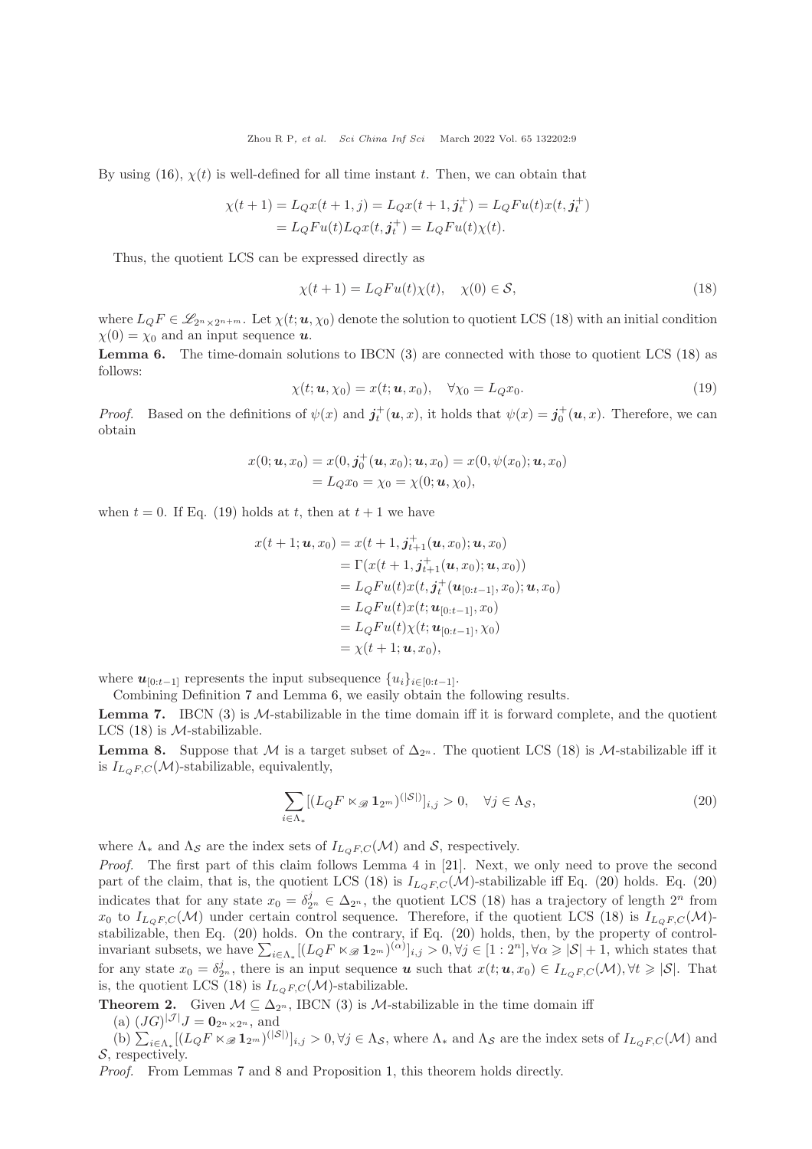By using [\(16\)](#page-7-3),  $\chi(t)$  is well-defined for all time instant t. Then, we can obtain that

$$
\chi(t+1) = L_Q x(t+1, j) = L_Q x(t+1, j_t^+) = L_Q F u(t) x(t, j_t^+) = L_Q F u(t) L_Q x(t, j_t^+) = L_Q F u(t) \chi(t).
$$

Thus, the quotient LCS can be expressed directly as

<span id="page-8-0"></span>
$$
\chi(t+1) = L_{Q}Fu(t)\chi(t), \quad \chi(0) \in \mathcal{S},\tag{18}
$$

where  $L_QF \in \mathscr{L}_{2^n\times 2^{n+m}}$ . Let  $\chi(t; u, \chi_0)$  denote the solution to quotient LCS [\(18\)](#page-8-0) with an initial condition  $\chi(0) = \chi_0$  and an input sequence **u**.

<span id="page-8-2"></span>**Lemma 6.** The time-domain solutions to IBCN  $(3)$  are connected with those to quotient LCS  $(18)$  as follows:

<span id="page-8-1"></span>
$$
\chi(t; \mathbf{u}, \chi_0) = x(t; \mathbf{u}, x_0), \quad \forall \chi_0 = L_Q x_0.
$$
\n(19)

*Proof.* Based on the definitions of  $\psi(x)$  and  $\mathbf{j}_t^+(\mathbf{u},x)$ , it holds that  $\psi(x) = \mathbf{j}_0^+(\mathbf{u},x)$ . Therefore, we can obtain

$$
x(0; \mathbf{u}, x_0) = x(0, \mathbf{j}_0^+(\mathbf{u}, x_0); \mathbf{u}, x_0) = x(0, \psi(x_0); \mathbf{u}, x_0)
$$
  
=  $L_Q x_0 = \chi_0 = \chi(0; \mathbf{u}, \chi_0),$ 

when  $t = 0$ . If Eq. [\(19\)](#page-8-1) holds at t, then at  $t + 1$  we have

$$
x(t + 1; u, x_0) = x(t + 1, j_{t+1}^+(u, x_0); u, x_0)
$$
  
=  $\Gamma(x(t + 1, j_{t+1}^+(u, x_0); u, x_0))$   
=  $L_QFu(t)x(t, j_t^+(u_{[0:t-1]}, x_0); u, x_0)$   
=  $L_QFu(t)x(t; u_{[0:t-1]}, x_0)$   
=  $L_QFu(t)\chi(t; u_{[0:t-1]}, \chi_0)$   
=  $\chi(t + 1; u, x_0)$ ,

where  $u_{[0:t-1]}$  represents the input subsequence  $\{u_i\}_{i\in[0:t-1]}$ .

Combining Definition [7](#page-4-6) and Lemma [6,](#page-8-2) we easily obtain the following results.

<span id="page-8-4"></span>**Lemma 7.** IBCN  $(3)$  is M-stabilizable in the time domain iff it is forward complete, and the quotient LCS  $(18)$  is *M*-stabilizable.

<span id="page-8-5"></span>**Lemma 8.** Suppose that M is a target subset of  $\Delta_{2^n}$ . The quotient LCS [\(18\)](#page-8-0) is M-stabilizable iff it is  $I_{L_QF,C}(\mathcal{M})$ -stabilizable, equivalently,

<span id="page-8-3"></span>
$$
\sum_{i \in \Lambda_*} [(L_Q F \ltimes_{\mathcal{B}} \mathbf{1}_{2^m})^{(|\mathcal{S}|)}]_{i,j} > 0, \quad \forall j \in \Lambda_{\mathcal{S}},\tag{20}
$$

where  $\Lambda_*$  and  $\Lambda_{\mathcal{S}}$  are the index sets of  $I_{L_OF,C}(\mathcal{M})$  and  $\mathcal{S}$ , respectively.

Proof. The first part of this claim follows Lemma 4 in [\[21\]](#page-13-13). Next, we only need to prove the second part of the claim, that is, the quotient LCS [\(18\)](#page-8-0) is  $I_{LQF,C}(\mathcal{M})$ -stabilizable iff Eq. [\(20\)](#page-8-3) holds. Eq. (20) indicates that for any state  $x_0 = \delta_{2^n}^j \in \Delta_{2^n}$ , the quotient LCS [\(18\)](#page-8-0) has a trajectory of length  $2^n$  from  $x_0$  to  $I_{L_QF,C}(\mathcal{M})$  under certain control sequence. Therefore, if the quotient LCS [\(18\)](#page-8-0) is  $I_{L_QF,C}(\mathcal{M})$ stabilizable, then Eq. [\(20\)](#page-8-3) holds. On the contrary, if Eq. [\(20\)](#page-8-3) holds, then, by the property of controlinvariant subsets, we have  $\sum_{i\in\Lambda_*}[(L_QF\ltimes_{\mathscr{B}}\mathbf{1}_{2^m})^{(\alpha)}]_{i,j} > 0, \forall j\in[1:2^n], \forall \alpha\geqslant |\mathcal{S}|+1$ , which states that for any state  $x_0 = \delta_{2^n}^j$ , there is an input sequence **u** such that  $x(t; u, x_0) \in I_{L_QF, C}(\mathcal{M}), \forall t \geq |\mathcal{S}|$ . That is, the quotient LCS [\(18\)](#page-8-0) is  $I_{L_OF,C}(\mathcal{M})$ -stabilizable.

<span id="page-8-6"></span>**Theorem 2.** Given  $M \subseteq \Delta_{2^n}$ , IBCN [\(3\)](#page-3-1) is M-stabilizable in the time domain iff (a)  $(JG)^{|\mathcal{J}|}J = \mathbf{0}_{2^n \times 2^n}$ , and

(b)  $\sum_{i\in\Lambda_*}[(L_QF\ltimes_{\mathscr{B}}\mathbf{1}_{2^m})^{(|S|)}]_{i,j} > 0, \forall j\in\Lambda_{\mathcal{S}}$ , where  $\Lambda_*$  and  $\Lambda_{\mathcal{S}}$  are the index sets of  $I_{L_QF,C}(\mathcal{M})$  and S, respectively.

Proof. From Lemmas [7](#page-8-4) and [8](#page-8-5) and Proposition [1,](#page-4-7) this theorem holds directly.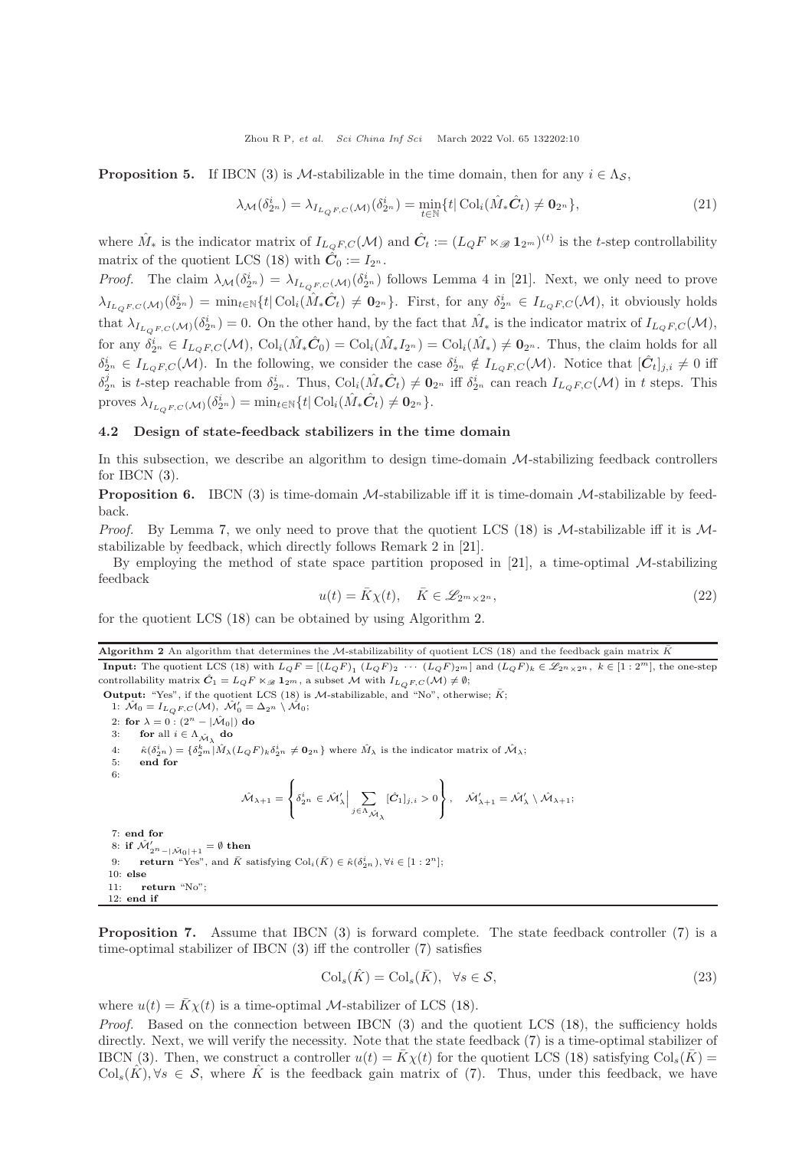<span id="page-9-4"></span>**Proposition 5.** If IBCN [\(3\)](#page-3-1) is M-stabilizable in the time domain, then for any  $i \in \Lambda_S$ ,

$$
\lambda_{\mathcal{M}}(\delta_{2^n}^i) = \lambda_{I_{L_{Q}F,C}(\mathcal{M})}(\delta_{2^n}^i) = \min_{t \in \mathbb{N}} \{t | \operatorname{Col}_i(\hat{M}_* \hat{C}_t) \neq \mathbf{0}_{2^n} \},\tag{21}
$$

where  $\hat{M}_*$  is the indicator matrix of  $I_{L_QF,C}(\mathcal{M})$  and  $\hat{C}_t := (L_QF \ltimes_{\mathscr{B}} \mathbf{1}_{2^m})^{(t)}$  is the t-step controllability matrix of the quotient LCS [\(18\)](#page-8-0) with  $\hat{C}_0 := I_{2^n}$ .

*Proof.* The claim  $\lambda_{\mathcal{M}}(\delta_{2^n}^i) = \lambda_{I_{L_{Q}F,C}(\mathcal{M})}(\delta_{2^n}^i)$  follows Lemma 4 in [\[21\]](#page-13-13). Next, we only need to prove  $\lambda_{I_{L_{Q}F,C}(\mathcal{M})}(\delta_{2^n}^i) = \min_{t \in \mathbb{N}} \{t | \operatorname{Col}_i(\hat{M}_*\hat{C}_t) \neq \mathbf{0}_{2^n}\}.$  First, for any  $\delta_{2^n}^i \in I_{L_{Q}F,C}(\mathcal{M})$ , it obviously holds that  $\lambda_{I_{L_q F,C}(\mathcal{M})}(\delta_{2^n}^i)=0$ . On the other hand, by the fact that  $\hat{M}_*$  is the indicator matrix of  $I_{L_q F,C}(\mathcal{M})$ , for any  $\delta_{2^n}^i \in I_{L_QF,C}(\mathcal{M}), \text{Col}_i(\hat{M}_*\hat{C}_0) = \text{Col}_i(\hat{M}_*I_{2^n}) = \text{Col}_i(\hat{M}_*) \neq \mathbf{0}_{2^n}.$  Thus, the claim holds for all  $\delta_{2^n}^i \in I_{L_{Q}F,C}(\mathcal{M})$ . In the following, we consider the case  $\delta_{2^n}^i \notin I_{L_{Q}F,C}(\mathcal{M})$ . Notice that  $[\hat{C}_t]_{j,i} \neq 0$  iff  $\delta_{2^n}^j$  is t-step reachable from  $\delta_{2^n}^i$ . Thus,  $\text{Col}_i(\hat{M}_*\hat{C}_t) \neq \mathbf{0}_{2^n}$  iff  $\delta_{2^n}^i$  can reach  $I_{L_{Q}F,C}(\mathcal{M})$  in t steps. This proves  $\lambda_{I_{L_Q F, C}(\mathcal{M})}(\delta_{2^n}^i) = \min_{t \in \mathbb{N}} \{t | \operatorname{Col}_i(\hat{M}_* \hat{C}_t) \neq \mathbf{0}_{2^n}\}.$ 

#### 4.2 Design of state-feedback stabilizers in the time domain

In this subsection, we describe an algorithm to design time-domain M-stabilizing feedback controllers for IBCN  $(3)$ .

<span id="page-9-3"></span>**Proposition 6.** IBCN [\(3\)](#page-3-1) is time-domain  $M$ -stabilizable iff it is time-domain  $M$ -stabilizable by feedback.

*Proof.* By Lemma [7,](#page-8-4) we only need to prove that the quotient LCS [\(18\)](#page-8-0) is  $M$ -stabilizable iff it is  $M$ stabilizable by feedback, which directly follows Remark 2 in [\[21\]](#page-13-13).

By employing the method of state space partition proposed in  $[21]$ , a time-optimal M-stabilizing feedback

$$
u(t) = \bar{K}\chi(t), \quad \bar{K} \in \mathcal{L}_{2^m \times 2^n},
$$
\n
$$
(22)
$$

<span id="page-9-0"></span>for the quotient LCS [\(18\)](#page-8-0) can be obtained by using Algorithm [2.](#page-9-0)

Algorithm 2 An algorithm that determines the M-stabilizability of quotient LCS [\(18\)](#page-8-0) and the feedback gain matrix  $\bar{K}$ 

**Input:** The quotient LCS [\(18\)](#page-8-0) with  $L_QF = [(L_QF)_1 (L_QF)_2 \cdots (L_QF)_2 m]$  and  $(L_QF)_k \in \mathscr{L}_{2n \times 2n}$ ,  $k \in [1:2^m]$ , the one-step controllability matrix  $\hat{C}_1 = L_Q F \ltimes_{\mathscr{B}} \mathbf{1}_{2^m}$ , a subset M with  $I_{L_QF,C}(\mathcal{M}) \neq \emptyset$ ;

Output: "Yes", if the quotient LCS [\(18\)](#page-8-0) is M-stabilizable, and "No", otherwise;  $\bar{K}$ ;

1:  $\mathcal{\hat{M}}_0 = I_{L_{\mathbb{Q}}F,C}(\mathcal{M}), \ \mathcal{\hat{M}}'_0 = \Delta_{2^n} \setminus \mathcal{\hat{M}}_0;$ 2: for  $\lambda = 0$  :  $(2^n - |\hat{\mathcal{M}}_0|)$  do 3: for all  $i \in \Lambda_{\hat{\mathcal{M}}_{\lambda}}$  do  $4: \quad \hat{\kappa}(\delta_{2^n}^i) = \{\delta_{2^m}^k | \hat{M}_{\lambda}(L_QF)_k \delta_{2^n}^i \neq \mathbf{0}_{2^n}\}\$  where  $\hat{M}_{\lambda}$  is the indicator matrix of  $\hat{\mathcal{M}}_{\lambda}$ ; 5: end for 6:  $\hat{\mathcal{M}}_{\lambda+1} =$ ſ  $\mathbf{I}$  $\delta_{2^n}^i \in \hat{\mathcal{M}}_\lambda' \Big| \sum_{i \in \Lambda_{-n}}$  $^{j\in\Lambda}$  $\hat{\mathcal{M}}_{\lambda}$  $[\hat{\bm{C}}_1]_{j,i} > 0$  $\mathcal{L}$ J  $, \quad \hat{\mathcal{M}}'_{\lambda+1} = \hat{\mathcal{M}}'_{\lambda} \setminus \hat{\mathcal{M}}_{\lambda+1};$ 7: end for 8: if  $\hat{\mathcal{M}}'_{2^n-|\hat{\mathcal{M}}_0|+1} = \emptyset$  then

9: **return** "Yes", and  $\bar{K}$  satisfying  $\text{Col}_{i}(\bar{K}) \in \hat{\kappa}(\delta_{2n}^{i}), \forall i \in [1 : 2^{n}]$ ; 10: else 11: return "No"; 12: end if

<span id="page-9-2"></span>Proposition 7. Assume that IBCN [\(3\)](#page-3-1) is forward complete. The state feedback controller [\(7\)](#page-4-3) is a time-optimal stabilizer of IBCN [\(3\)](#page-3-1) iff the controller [\(7\)](#page-4-3) satisfies

<span id="page-9-1"></span>
$$
\mathrm{Col}_s(\hat{K}) = \mathrm{Col}_s(\bar{K}), \quad \forall s \in \mathcal{S},\tag{23}
$$

where  $u(t) = \overline{K}\chi(t)$  is a time-optimal *M*-stabilizer of LCS [\(18\)](#page-8-0).

Proof. Based on the connection between IBCN [\(3\)](#page-3-1) and the quotient LCS [\(18\)](#page-8-0), the sufficiency holds directly. Next, we will verify the necessity. Note that the state feedback [\(7\)](#page-4-3) is a time-optimal stabilizer of IBCN [\(3\)](#page-3-1). Then, we construct a controller  $u(t) = K\chi(t)$  for the quotient LCS [\(18\)](#page-8-0) satisfying Col<sub>s</sub> $(K)$  =  $\text{Col}_s(K), \forall s \in \mathcal{S}$ , where K is the feedback gain matrix of [\(7\)](#page-4-3). Thus, under this feedback, we have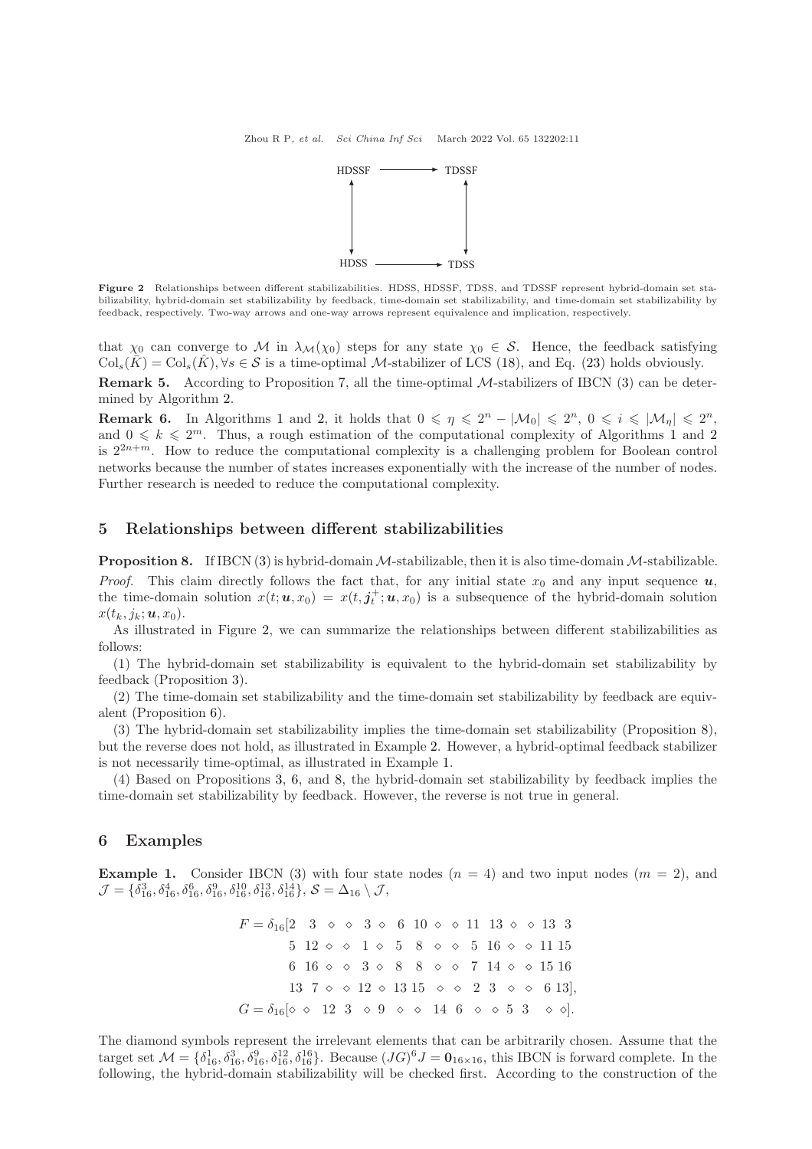

<span id="page-10-2"></span>Figure 2 Relationships between different stabilizabilities. HDSS, HDSSF, TDSS, and TDSSF represent hybrid-domain set stabilizability, hybrid-domain set stabilizability by feedback, time-domain set stabilizability, and time-domain set stabilizability by feedback, respectively. Two-way arrows and one-way arrows represent equivalence and implication, respectively.

that  $\chi_0$  can converge to M in  $\lambda_{\mathcal{M}}(\chi_0)$  steps for any state  $\chi_0 \in \mathcal{S}$ . Hence, the feedback satisfying  $\text{Col}_s(K) = \text{Col}_s(K), \forall s \in S$  is a time-optimal M-stabilizer of LCS [\(18\)](#page-8-0), and Eq. [\(23\)](#page-9-1) holds obviously.

**Remark 5.** According to Proposition [7,](#page-9-2) all the time-optimal M-stabilizers of IBCN [\(3\)](#page-3-1) can be determined by Algorithm [2.](#page-9-0)

**Remark 6.** In Algorithms [1](#page-6-0) and [2,](#page-9-0) it holds that  $0 \le \eta \le 2^n - |\mathcal{M}_0| \le 2^n$ ,  $0 \le i \le |\mathcal{M}_\eta| \le 2^n$ , and  $0 \leq k \leq 2^m$  $0 \leq k \leq 2^m$  $0 \leq k \leq 2^m$ . Thus, a rough estimation of the computational complexity of Algorithms [1](#page-6-0) and 2 is  $2^{2n+m}$ . How to reduce the computational complexity is a challenging problem for Boolean control networks because the number of states increases exponentially with the increase of the number of nodes. Further research is needed to reduce the computational complexity.

## <span id="page-10-0"></span>5 Relationships between different stabilizabilities

<span id="page-10-3"></span>**Proposition 8.** If IBCN [\(3\)](#page-3-1) is hybrid-domain  $M$ -stabilizable, then it is also time-domain  $M$ -stabilizable. *Proof.* This claim directly follows the fact that, for any initial state  $x_0$  and any input sequence  $u$ , the time-domain solution  $x(t; u, x_0) = x(t, j_t^+; u, x_0)$  is a subsequence of the hybrid-domain solution  $x(t_k, j_k; \boldsymbol{u}, x_0)$ .

As illustrated in Figure [2,](#page-10-2) we can summarize the relationships between different stabilizabilities as follows:

(1) The hybrid-domain set stabilizability is equivalent to the hybrid-domain set stabilizability by feedback (Proposition [3\)](#page-6-2).

(2) The time-domain set stabilizability and the time-domain set stabilizability by feedback are equivalent (Proposition [6\)](#page-9-3).

(3) The hybrid-domain set stabilizability implies the time-domain set stabilizability (Proposition [8\)](#page-10-3), but the reverse does not hold, as illustrated in Example [2.](#page-11-0) However, a hybrid-optimal feedback stabilizer is not necessarily time-optimal, as illustrated in Example [1.](#page-10-4)

(4) Based on Propositions [3,](#page-6-2) [6,](#page-9-3) and [8,](#page-10-3) the hybrid-domain set stabilizability by feedback implies the time-domain set stabilizability by feedback. However, the reverse is not true in general.

### <span id="page-10-1"></span>6 Examples

<span id="page-10-4"></span>**Example 1.** Consider IBCN [\(3\)](#page-3-1) with four state nodes  $(n = 4)$  and two input nodes  $(m = 2)$ , and  $\mathcal{J}=\{\delta_{16}^3, \delta_{16}^4, \delta_{16}^6, \delta_{16}^9, \delta_{16}^{10}, \delta_{16}^{13}, \delta_{16}^{14}\}, \mathcal{S}=\Delta_{16}\setminus \mathcal{J},$ 

> $F = \delta_{16}[2 \quad 3 \quad \diamond \quad \diamond \quad 3 \quad \diamond \quad 6 \quad 10 \quad \diamond \quad \diamond \quad 11 \quad 13 \quad \diamond \quad \diamond \quad 13 \quad 3$ 5 12  $\circ$   $\circ$  1  $\circ$  5 8  $\circ$   $\circ$  5 16  $\circ$   $\circ$  11 15 6 16  $\circ$   $\circ$  3  $\circ$  8 8  $\circ$   $\circ$  7 14  $\circ$   $\circ$  15 16 13 7  $\circ$   $\circ$  12  $\circ$  13 15  $\circ$   $\circ$  2 3  $\circ$   $\circ$  6 13],  $G = \delta_{16} [\diamond \diamond 12 \space 3 \space \diamond 9 \space \diamond \space \diamond 14 \space 6 \space \diamond \space \diamond 5 \space 3 \space \space \diamond \space \diamond \diamond).$

The diamond symbols represent the irrelevant elements that can be arbitrarily chosen. Assume that the target set  $\mathcal{M} = \{\delta_{16}^1, \delta_{16}^3, \delta_{16}^9, \delta_{16}^{12}, \delta_{16}^{16}\}$ . Because  $(JG)^6 J = \mathbf{0}_{16 \times 16}$ , this IBCN is forward complete. In the following, the hybrid-domain stabilizability will be checked first. According to the construction of the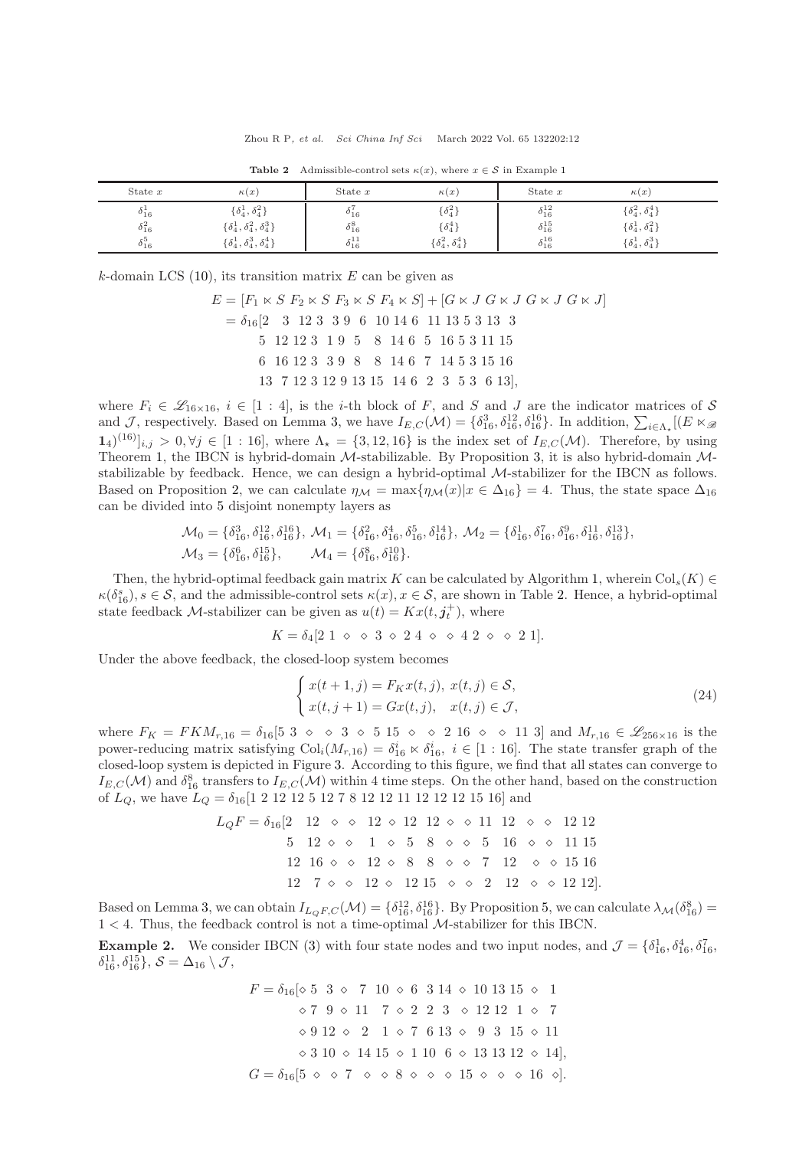<span id="page-11-1"></span>

| State $x$       | $\kappa(x)$                              | State $x$          | $\kappa(x)$                 | State $x$          | $\kappa(x)$                 |
|-----------------|------------------------------------------|--------------------|-----------------------------|--------------------|-----------------------------|
| $\delta_{16}^1$ | $\{\delta_4^1,\delta_4^2\}$              | $\delta_{16}^7$    | $\{\delta_4^2\}$            | $\delta_{16}^{12}$ | $\{\delta_4^2,\delta_4^4\}$ |
| $\delta_{16}^2$ | $\{\delta_4^1, \delta_4^2, \delta_4^3\}$ | $\delta^8_{16}$    | $\{\delta_4^4\}$            | $\delta_{16}^{15}$ | $\{\delta_4^1,\delta_4^2\}$ |
| $\delta^5_{16}$ | $\{\delta_4^1, \delta_4^3, \delta_4^4\}$ | $\delta_{16}^{11}$ | $\{\delta_4^2,\delta_4^4\}$ | $\delta_{16}^{16}$ | $\{\delta_4^1,\delta_4^3\}$ |

**Table 2** Admissible-control sets  $\kappa(x)$ , where  $x \in S$  in Example [1](#page-10-4)

k-domain LCS  $(10)$ , its transition matrix E can be given as

$$
E = [F_1 \times S \ F_2 \times S \ F_3 \times S \ F_4 \times S] + [G \times J \ G \times J \ G \times J \ G \times J]
$$
  
=  $\delta_{16}$ [2 3 12 3 3 9 6 10 14 6 11 13 5 3 13 3  
5 12 12 3 1 9 5 8 14 6 5 16 5 3 11 15  
6 16 12 3 3 9 8 8 14 6 7 14 5 3 15 16  
13 7 12 3 12 9 13 15 14 6 2 3 5 3 6 13],

where  $F_i \in \mathscr{L}_{16\times 16}$ ,  $i \in [1:4]$ , is the *i*-th block of F, and S and J are the indicator matrices of S and J, respectively. Based on Lemma [3,](#page-4-8) we have  $I_{E,C}(\mathcal{M}) = \{\delta_{16}^3, \delta_{16}^{12}, \delta_{16}^{16}\}\.$  In addition,  $\sum_{i \in \Lambda_{\star}}[(E \ltimes_{\mathscr{B}_{i}}]$  $(1.1)(16)_{i,j} > 0, \forall j \in [1:16],$  where  $\Lambda_{\star} = \{3, 12, 16\}$  is the index set of  $I_{E,C}(\mathcal{M})$ . Therefore, by using Theorem [1,](#page-6-3) the IBCN is hybrid-domain M-stabilizable. By Proposition [3,](#page-6-2) it is also hybrid-domain Mstabilizable by feedback. Hence, we can design a hybrid-optimal M-stabilizer for the IBCN as follows. Based on Proposition [2,](#page-6-4) we can calculate  $\eta_{\mathcal{M}} = \max{\eta_{\mathcal{M}}(x)|x \in \Delta_{16}} = 4$ . Thus, the state space  $\Delta_{16}$ can be divided into 5 disjoint nonempty layers as

$$
\mathcal{M}_0 = \{\delta_{16}^3, \delta_{16}^{12}, \delta_{16}^{16}\}, \ \mathcal{M}_1 = \{\delta_{16}^2, \delta_{16}^4, \delta_{16}^5, \delta_{16}^{14}\}, \ \mathcal{M}_2 = \{\delta_{16}^1, \delta_{16}^7, \delta_{16}^9, \delta_{16}^{11}, \delta_{16}^{13}\}, \ \mathcal{M}_3 = \{\delta_{16}^6, \delta_{16}^{15}\}, \quad \mathcal{M}_4 = \{\delta_{16}^8, \delta_{16}^{16}\}.
$$

Then, the hybrid-optimal feedback gain matrix K can be calculated by Algorithm [1,](#page-6-0) wherein  $\text{Col}_s(K) \in$  $\kappa(\delta_{16}^s), s \in \mathcal{S}$ , and the admissible-control sets  $\kappa(x), x \in \mathcal{S}$ , are shown in Table [2.](#page-11-1) Hence, a hybrid-optimal state feedback *M*-stabilizer can be given as  $u(t) = Kx(t, j_t^+)$ , where

$$
K = \delta_4[2 \; 1 \; \diamond \; \diamond \; 3 \; \diamond \; 2 \; 4 \; \diamond \; \diamond \; 4 \; 2 \; \diamond \; \diamond \; 2 \; 1].
$$

Under the above feedback, the closed-loop system becomes

<span id="page-11-2"></span>
$$
\begin{cases}\nx(t+1,j) = F_Kx(t,j), \ x(t,j) \in \mathcal{S}, \\
x(t,j+1) = Gx(t,j), \quad x(t,j) \in \mathcal{J},\n\end{cases}
$$
\n(24)

where  $F_K = FKM_{r,16} = \delta_{16} [5 \ 3 \ \diamond \ \diamond \ 3 \ \diamond \ 5 \ 15 \ \diamond \ \diamond \ 2 \ 16 \ \diamond \ \diamond \ 11 \ 3]$  and  $M_{r,16} \in \mathscr{L}_{256\times 16}$  is the power-reducing matrix satisfying  $Col_i(M_{r,16}) = \delta_{16}^i \times \delta_{16}^i$ ,  $i \in [1:16]$ . The state transfer graph of the closed-loop system is depicted in Figure [3.](#page-12-0) According to this figure, we find that all states can converge to  $I_{E,C}(\mathcal{M})$  and  $\delta_{16}^8$  transfers to  $I_{E,C}(\mathcal{M})$  within 4 time steps. On the other hand, based on the construction of LQ, we have L<sup>Q</sup> = δ16[1 2 12 12 5 12 7 8 12 12 11 12 12 12 15 16] and

$$
L_{Q}F = \delta_{16}[2 \quad 12 \quad \diamond \quad \diamond \quad 12 \quad \diamond \quad 12 \quad 12 \quad \diamond \quad \diamond \quad 11 \quad 12 \quad \diamond \quad \diamond \quad 12 \quad 12
$$

$$
5 \quad 12 \quad \diamond \quad \diamond \quad 1 \quad \diamond \quad 5 \quad 8 \quad \diamond \quad \diamond \quad 5 \quad 16 \quad \diamond \quad \diamond \quad 11 \quad 15
$$

$$
12 \quad 16 \quad \diamond \quad \diamond \quad 12 \quad \diamond \quad 8 \quad 8 \quad \diamond \quad \diamond \quad 7 \quad 12 \quad \diamond \quad \diamond \quad 15 \quad 16
$$

$$
12 \quad 7 \quad \diamond \quad \diamond \quad 12 \quad \diamond \quad 12 \quad 15 \quad \diamond \quad \diamond \quad 2 \quad 12 \quad \diamond \quad \diamond \quad 12 \quad 12].
$$

Based on Lemma [3,](#page-4-8) we can obtain  $I_{L_{Q}F,C}(\mathcal{M}) = \{\delta_{16}^{12}, \delta_{16}^{16}\}\$ . By Proposition [5,](#page-9-4) we can calculate  $\lambda_{\mathcal{M}}(\delta_{16}^8)$  =  $1 < 4$ . Thus, the feedback control is not a time-optimal  $M$ -stabilizer for this IBCN.

<span id="page-11-0"></span>**Example 2.** We consider IBCN [\(3\)](#page-3-1) with four state nodes and two input nodes, and  $\mathcal{J} = \{\delta_{16}^1, \delta_{16}^4, \delta_{16}^7, \delta_{16}^8, \delta_{16}^9, \delta_{16}^9, \delta_{16}^9, \delta_{16}^8, \delta_{16}^9, \delta_{16}^9, \delta_{16}^9, \delta_{16}^9, \delta_{16}^9, \delta_{16}^9, \delta_{16$  $\delta_{16}^{11}, \delta_{16}^{15}$ ,  $S = \Delta_{16} \setminus \mathcal{J}$ ,

> $F = \delta_{16}$ [ $\diamond$  5 3  $\diamond$  7 10  $\diamond$  6 3 14  $\diamond$  10 13 15  $\diamond$  1  $\Diamond$  7 9  $\Diamond$  11 7  $\Diamond$  2 2 3  $\Diamond$  12 12 1  $\Diamond$  7  $\Diamond$  9 12  $\Diamond$  2 1  $\Diamond$  7 6 13  $\Diamond$  9 3 15  $\Diamond$  11  $\Diamond$  3 10  $\Diamond$  14 15  $\Diamond$  1 10 6  $\Diamond$  13 13 12  $\Diamond$  14],  $G = \delta_{16}$ [5  $\diamond$   $\diamond$  7  $\diamond$   $\diamond$  8  $\diamond$   $\diamond$   $\diamond$  15  $\diamond$   $\diamond$   $\diamond$  16  $\diamond$ ].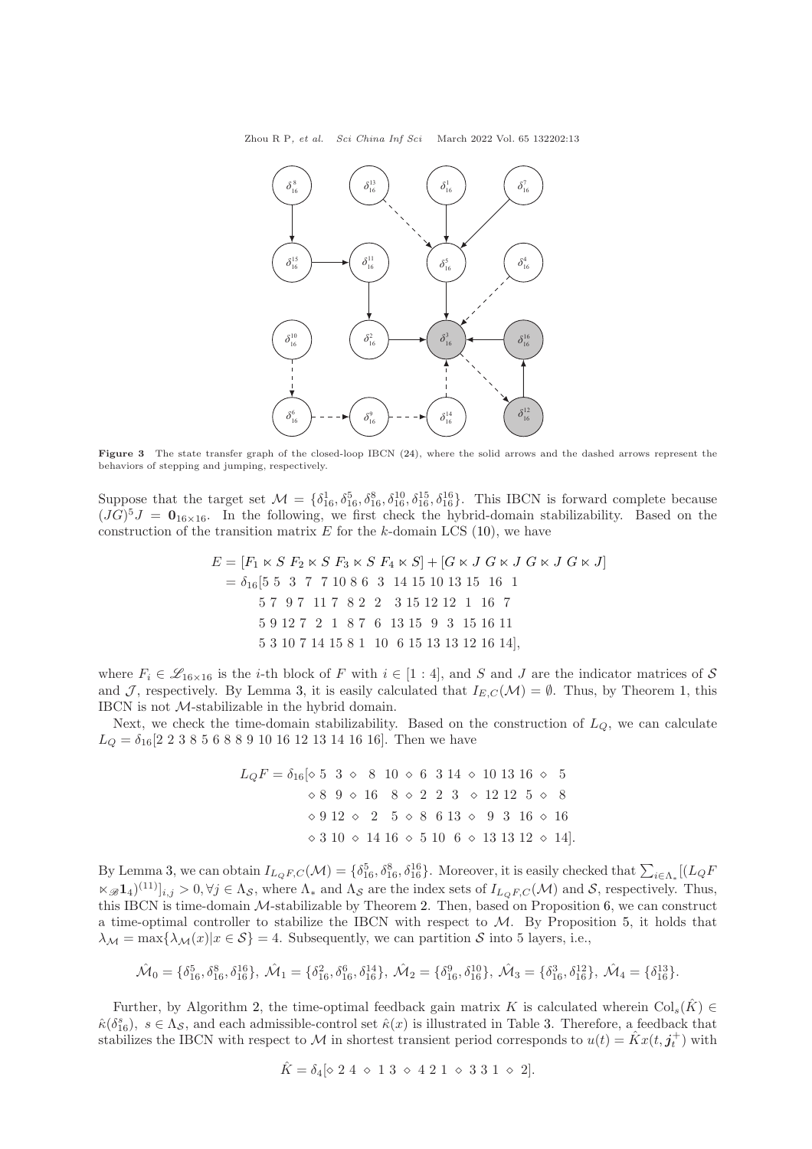<span id="page-12-0"></span>Zhou R P, et al. Sci China Inf Sci March 2022 Vol. 65 132202:13



Figure 3 The state transfer graph of the closed-loop IBCN [\(24\)](#page-11-2), where the solid arrows and the dashed arrows represent the behaviors of stepping and jumping, respectively.

Suppose that the target set  $\mathcal{M} = \{\delta_{16}^1, \delta_{16}^5, \delta_{16}^8, \delta_{16}^{10}, \delta_{16}^{15}, \delta_{16}^{16}\}.$  This IBCN is forward complete because  $(JG)^5J = 0_{16\times16}$ . In the following, we first check the hybrid-domain stabilizability. Based on the construction of the transition matrix  $E$  for the k-domain LCS [\(10\)](#page-5-1), we have

$$
E = [F_1 \times S \ F_2 \times S \ F_3 \times S \ F_4 \times S] + [G \times J \ G \times J \ G \times J \ G \times J]
$$
  
=  $\delta_{16}$  [5 5 3 7 7 10 8 6 3 14 15 10 13 15 16 1  
5 7 9 7 11 7 8 2 2 3 15 12 12 1 16 7  
5 9 12 7 2 1 8 7 6 13 15 9 3 15 16 11  
5 3 10 7 14 15 8 1 10 6 15 13 13 12 16 14],

where  $F_i \in \mathscr{L}_{16\times 16}$  is the *i*-th block of F with  $i \in [1:4]$ , and S and J are the indicator matrices of S and J, respectively. By Lemma [3,](#page-4-8) it is easily calculated that  $I_{E,C}(\mathcal{M}) = \emptyset$ . Thus, by Theorem [1,](#page-6-3) this IBCN is not M-stabilizable in the hybrid domain.

Next, we check the time-domain stabilizability. Based on the construction of  $L<sub>O</sub>$ , we can calculate  $L_Q = \delta_{16}[2\ 2\ 3\ 8\ 5\ 6\ 8\ 8\ 9\ 10\ 16\ 12\ 13\ 14\ 16\ 16]$ . Then we have

$$
L_{Q}F = \delta_{16} [\diamond 5 \quad 3 \quad \diamond \quad 8 \quad 10 \quad \diamond \quad 6 \quad 3 \quad 14 \quad \diamond \quad 10 \quad 13 \quad 16 \quad \diamond \quad 5
$$

$$
\diamond 8 \quad 9 \quad \diamond \quad 16 \quad 8 \quad \diamond 2 \quad 2 \quad 3 \quad \diamond \quad 12 \quad 12 \quad 5 \quad \diamond \quad 8
$$

$$
\diamond 9 \quad 12 \quad \diamond \quad 2 \quad 5 \quad \diamond 8 \quad 6 \quad 13 \quad \diamond \quad 9 \quad 3 \quad 16 \quad \diamond 16
$$

$$
\diamond 3 \quad 10 \quad \diamond 14 \quad 16 \quad \diamond 5 \quad 10 \quad 6 \quad \diamond 13 \quad 13 \quad 12 \quad \diamond 14].
$$

By Lemma [3,](#page-4-8) we can obtain  $I_{L_{Q}F,C}(\mathcal{M}) = \{\delta_{16}^5, \delta_{16}^8, \delta_{16}^{16}\}\$ . Moreover, it is easily checked that  $\sum_{i \in \Lambda_*} [(L_{Q}F_{i} + L_{Q}F_{i}]$  $(\mathbb{Z}_{\mathscr{B}}\mathbf{1}_4)^{(11)}|_{i,j} > 0, \forall j \in \Lambda_{\mathcal{S}}$ , where  $\Lambda_*$  and  $\Lambda_{\mathcal{S}}$  are the index sets of  $I_{L_{Q}F,C}(\mathcal{M})$  and  $\mathcal{S}$ , respectively. Thus, this IBCN is time-domain M-stabilizable by Theorem [2.](#page-8-6) Then, based on Proposition [6,](#page-9-3) we can construct a time-optimal controller to stabilize the IBCN with respect to  $M$ . By Proposition [5,](#page-9-4) it holds that  $\lambda_{\mathcal{M}} = \max{\lambda_{\mathcal{M}}(x)|x \in \mathcal{S}} = 4.$  Subsequently, we can partition S into 5 layers, i.e.,

$$
\hat{\mathcal{M}}_0 = \{\delta_{16}^5, \delta_{16}^8, \delta_{16}^{16}\}, \ \hat{\mathcal{M}}_1 = \{\delta_{16}^2, \delta_{16}^6, \delta_{16}^{14}\}, \ \hat{\mathcal{M}}_2 = \{\delta_{16}^9, \delta_{16}^{10}\}, \ \hat{\mathcal{M}}_3 = \{\delta_{16}^3, \delta_{16}^{12}\}, \ \hat{\mathcal{M}}_4 = \{\delta_{16}^{13}\}.
$$

Further, by Algorithm [2,](#page-9-0) the time-optimal feedback gain matrix K is calculated wherein  $\text{Col}_{s}(\hat{K}) \in$  $\hat{\kappa}(\delta_{16}^s), s \in \Lambda_{\mathcal{S}},$  and each admissible-control set  $\hat{\kappa}(x)$  is illustrated in Table [3.](#page-13-17) Therefore, a feedback that stabilizes the IBCN with respect to M in shortest transient period corresponds to  $u(t) = \hat{K}x(t, j_t^+)$  with

$$
\hat{K} = \delta_4 [\diamond 2 4 \diamond 1 3 \diamond 4 2 1 \diamond 3 3 1 \diamond 2].
$$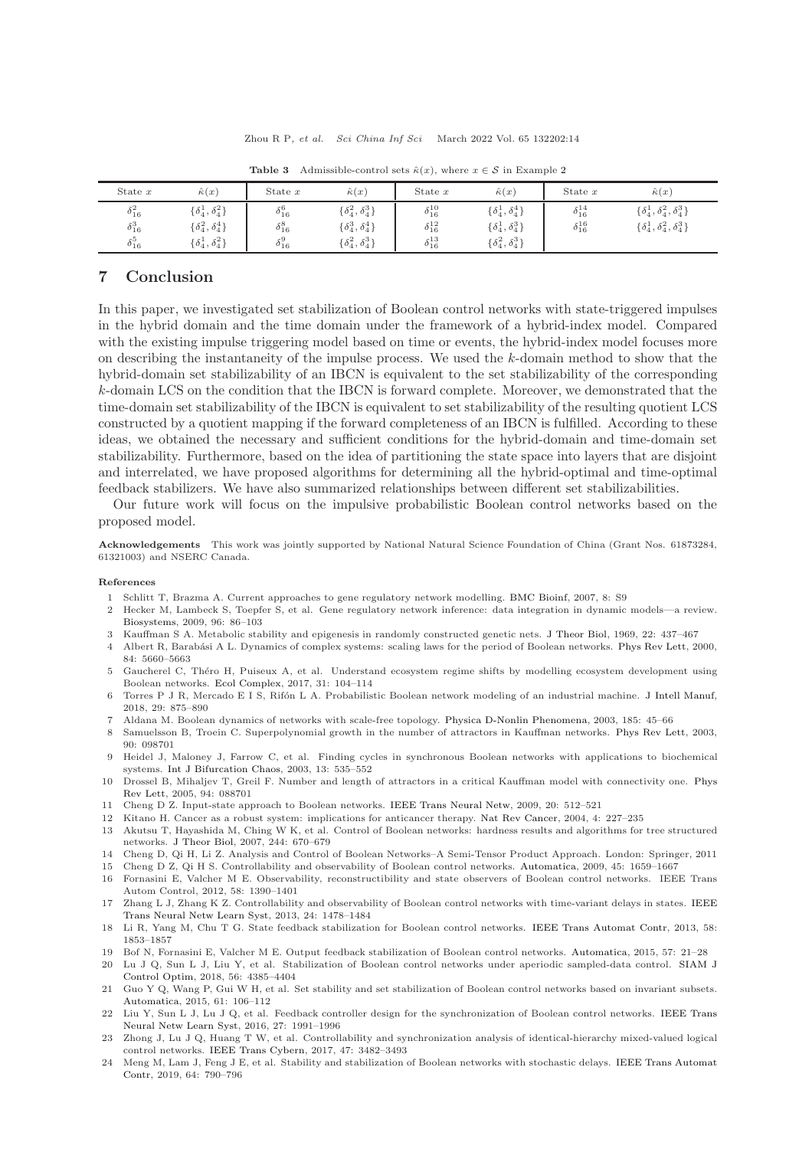<span id="page-13-17"></span>

| State $x$                                             | $\hat{\kappa}(x)$                                                                          | State $x$                                             | $\hat{\kappa}(x)$                                                                                           | State $x$                                                      | $\hat{\kappa}(x)$                                                                          | State $x$                                | $\hat{\kappa}(x)$                                                                    |
|-------------------------------------------------------|--------------------------------------------------------------------------------------------|-------------------------------------------------------|-------------------------------------------------------------------------------------------------------------|----------------------------------------------------------------|--------------------------------------------------------------------------------------------|------------------------------------------|--------------------------------------------------------------------------------------|
| $\delta_{16}^2$<br>$\delta_{16}^3$<br>$\delta_{16}^5$ | $\{\delta_4^1,\delta_4^2\}$<br>$\{\delta_4^2, \delta_4^4\}$<br>$\{\delta_4^1,\delta_4^2\}$ | $\delta_{16}^6$<br>$\delta^8_{16}$<br>$\delta^9_{16}$ | $\{\delta^{2}_{4}, \delta^{3}_{4}\}$<br>$\{\delta_4^3,\delta_4^4\}$<br>$\{\delta^{2}_{4}, \delta^{3}_{4}\}$ | $\delta_{16}^{10}$<br>$\delta_{16}^{12}$<br>$\delta_{16}^{13}$ | $\{\delta_4^1,\delta_4^4\}$<br>$\{\delta_4^1,\delta_4^3\}$<br>$\{\delta_4^2, \delta_4^3\}$ | $\delta_{16}^{14}$<br>$\delta_{16}^{16}$ | $\{\delta_4^1, \delta_4^2, \delta_4^3\}$<br>$\{\delta_4^1, \delta_4^2, \delta_4^3\}$ |

**Table 3** Admissible-control sets  $\hat{\kappa}(x)$ , where  $x \in \mathcal{S}$  in Example [2](#page-11-0)

## <span id="page-13-16"></span>7 Conclusion

In this paper, we investigated set stabilization of Boolean control networks with state-triggered impulses in the hybrid domain and the time domain under the framework of a hybrid-index model. Compared with the existing impulse triggering model based on time or events, the hybrid-index model focuses more on describing the instantaneity of the impulse process. We used the k-domain method to show that the hybrid-domain set stabilizability of an IBCN is equivalent to the set stabilizability of the corresponding k-domain LCS on the condition that the IBCN is forward complete. Moreover, we demonstrated that the time-domain set stabilizability of the IBCN is equivalent to set stabilizability of the resulting quotient LCS constructed by a quotient mapping if the forward completeness of an IBCN is fulfilled. According to these ideas, we obtained the necessary and sufficient conditions for the hybrid-domain and time-domain set stabilizability. Furthermore, based on the idea of partitioning the state space into layers that are disjoint and interrelated, we have proposed algorithms for determining all the hybrid-optimal and time-optimal feedback stabilizers. We have also summarized relationships between different set stabilizabilities.

Our future work will focus on the impulsive probabilistic Boolean control networks based on the proposed model.

Acknowledgements This work was jointly supported by National Natural Science Foundation of China (Grant Nos. 61873284, 61321003) and NSERC Canada.

#### <span id="page-13-0"></span>References

- <span id="page-13-1"></span>1 Schlitt T, Brazma A. Current approaches to gene regulatory network modelling. [BMC Bioinf,](https://doi.org/10.1186/1471-2105-8-S6-S9) 2007, 8: S9
- 2 Hecker M, Lambeck S, Toepfer S, et al. Gene regulatory network inference: data integration in dynamic models—a review. [Biosystems,](https://doi.org/10.1016/j.biosystems.2008.12.004) 2009, 96: 86–103
- <span id="page-13-3"></span><span id="page-13-2"></span>3 Kauffman S A. Metabolic stability and epigenesis in randomly constructed genetic nets. [J Theor Biol,](https://doi.org/10.1016/0022-5193(69)90015-0) 1969, 22: 437–467
- 4 Albert R, Barab´asi A L. Dynamics of complex systems: scaling laws for the period of Boolean networks. [Phys Rev Lett,](https://doi.org/10.1103/PhysRevLett.84.5660) 2000, 84: 5660–5663
- 5 Gaucherel C, Théro H, Puiseux A, et al. Understand ecosystem regime shifts by modelling ecosystem development using Boolean networks. [Ecol Complex,](https://doi.org/10.1016/j.ecocom.2017.06.001) 2017, 31: 104–114
- <span id="page-13-4"></span>6 Torres P J R, Mercado E I S, Rif´on L A. Probabilistic Boolean network modeling of an industrial machine. [J Intell Manuf,](https://doi.org/10.1007/s10845-015-1143-4) 2018, 29: 875–890
- <span id="page-13-5"></span>7 Aldana M. Boolean dynamics of networks with scale-free topology. [Physica D-Nonlin Phenomena,](https://doi.org/10.1016/S0167-2789(03)00174-X) 2003, 185: 45–66
- 8 Samuelsson B, Troein C. Superpolynomial growth in the number of attractors in Kauffman networks. [Phys Rev Lett,](https://doi.org/10.1103/PhysRevLett.90.098701) 2003, 90: 098701
- 9 Heidel J, Maloney J, Farrow C, et al. Finding cycles in synchronous Boolean networks with applications to biochemical systems. [Int J Bifurcation Chaos,](https://doi.org/10.1142/S0218127403006765) 2003, 13: 535–552
- 10 Drossel B, Mihaljev T, Greil F. Number and length of attractors in a critical Kauffman model with connectivity one. Phys Rev Lett, 2005, 94: 088701
- <span id="page-13-7"></span><span id="page-13-6"></span>11 Cheng D Z. Input-state approach to Boolean networks. [IEEE Trans Neural Netw,](https://doi.org/10.1109/TNN.2008.2011359) 2009, 20: 512–521
- <span id="page-13-8"></span>12 Kitano H. Cancer as a robust system: implications for anticancer therapy. [Nat Rev Cancer,](https://doi.org/10.1038/nrc1300) 2004, 4: 227–235
- 13 Akutsu T, Hayashida M, Ching W K, et al. Control of Boolean networks: hardness results and algorithms for tree structured networks. [J Theor Biol,](https://doi.org/10.1016/j.jtbi.2006.09.023) 2007, 244: 670–679
- <span id="page-13-10"></span><span id="page-13-9"></span>14 Cheng D, Qi H, Li Z. Analysis and Control of Boolean Networks–A Semi-Tensor Product Approach. London: Springer, 2011
- 15 Cheng D Z, Qi H S. Controllability and observability of Boolean control networks. [Automatica,](https://doi.org/10.1016/j.automatica.2009.03.006) 2009, 45: 1659–1667
- 16 Fornasini E, Valcher M E. Observability, reconstructibility and state observers of Boolean control networks. IEEE Trans Autom Control, 2012, 58: 1390–1401
- <span id="page-13-11"></span>17 Zhang L J, Zhang K Z. Controllability and observability of Boolean control networks with time-variant delays in states. IEEE Trans Neural Netw Learn Syst, 2013, 24: 1478–1484
- <span id="page-13-12"></span>18 Li R, Yang M, Chu T G. State feedback stabilization for Boolean control networks. [IEEE Trans Automat Contr,](https://doi.org/10.1109/TAC.2013.2238092) 2013, 58: 1853–1857
- 19 Bof N, Fornasini E, Valcher M E. Output feedback stabilization of Boolean control networks. [Automatica,](https://doi.org/10.1016/j.automatica.2015.03.032) 2015, 57: 21–28
- 20 Lu J Q, Sun L J, Liu Y, et al. Stabilization of Boolean control networks under aperiodic sampled-data control. SIAM J Control Optim, 2018, 56: 4385–4404
- <span id="page-13-13"></span>21 Guo Y Q, Wang P, Gui W H, et al. Set stability and set stabilization of Boolean control networks based on invariant subsets. [Automatica,](https://doi.org/10.1016/j.automatica.2015.08.006) 2015, 61: 106–112
- <span id="page-13-14"></span>22 Liu Y, Sun L J, Lu J Q, et al. Feedback controller design for the synchronization of Boolean control networks. IEEE Trans Neural Netw Learn Syst, 2016, 27: 1991–1996
- 23 Zhong J, Lu J Q, Huang T W, et al. Controllability and synchronization analysis of identical-hierarchy mixed-valued logical control networks. [IEEE Trans Cybern,](https://doi.org/10.1109/TCYB.2016.2560240) 2017, 47: 3482–3493
- <span id="page-13-15"></span>24 Meng [M, Lam J, Feng J E, et al. Stability and stabilization of Boolean networks with stochastic delays.](https://doi.org/10.1109/TAC.2018.2835366) IEEE Trans Automat Contr, 2019, 64: 790–796